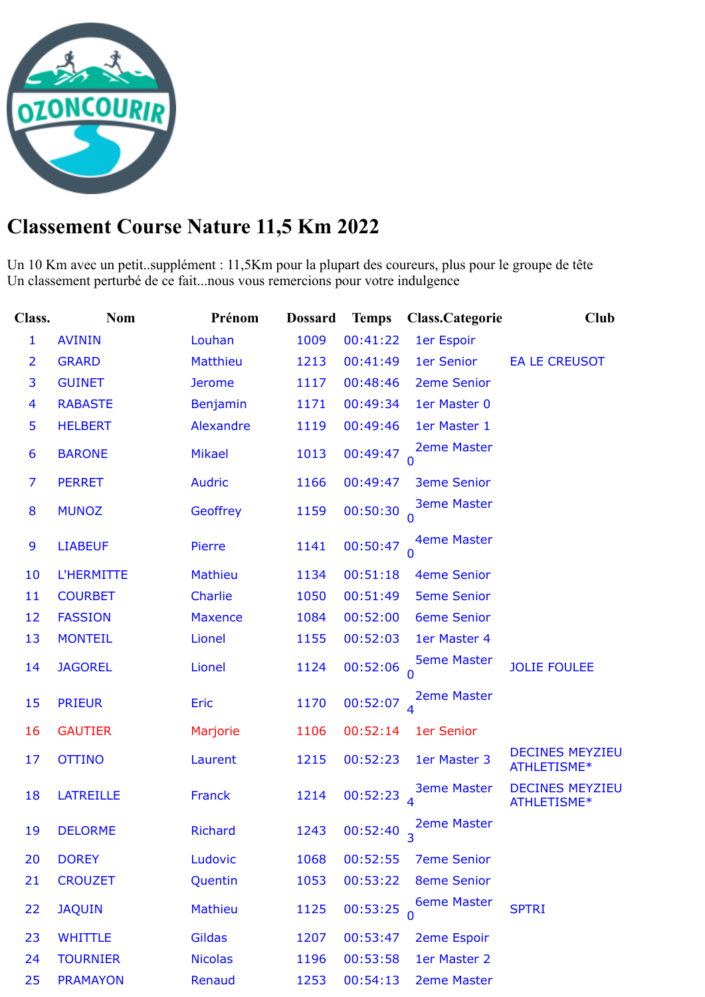

## **Classement Course Nature 11,5 Km 2022**

Un 10 Km avec un petit..supplément : 11,5Km pour la plupart des coureurs, plus pour le groupe de tête Un classement perturbé de ce fait...nous vous remercions pour votre indulgence

| Class.         | <b>Nom</b>        | Prénom          | <b>Dossard</b> | <b>Temps</b> | Class.Categorie    | Club                                  |
|----------------|-------------------|-----------------|----------------|--------------|--------------------|---------------------------------------|
| 1              | <b>AVININ</b>     | Louhan          | 1009           | 00:41:22     | 1er Espoir         |                                       |
| $\overline{2}$ | <b>GRARD</b>      | <b>Matthieu</b> | 1213           | 00:41:49     | 1er Senior         | <b>EA LE CREUSOT</b>                  |
| 3              | <b>GUINET</b>     | <b>Jerome</b>   | 1117           | 00:48:46     | <b>2eme Senior</b> |                                       |
| 4              | <b>RABASTE</b>    | Benjamin        | 1171           | 00:49:34     | 1er Master 0       |                                       |
| 5              | <b>HELBERT</b>    | Alexandre       | 1119           | 00:49:46     | 1er Master 1       |                                       |
| 6              | <b>BARONE</b>     | <b>Mikael</b>   | 1013           | 00:49:47     | <b>2eme Master</b> |                                       |
| 7              | <b>PERRET</b>     | <b>Audric</b>   | 1166           | 00:49:47     | <b>3eme Senior</b> |                                       |
| 8              | <b>MUNOZ</b>      | Geoffrey        | 1159           | 00:50:30     | <b>3eme Master</b> |                                       |
| 9              | <b>LIABEUF</b>    | Pierre          | 1141           | 00:50:47     | <b>4eme Master</b> |                                       |
| 10             | <b>L'HERMITTE</b> | <b>Mathieu</b>  | 1134           | 00:51:18     | <b>4eme Senior</b> |                                       |
| 11             | <b>COURBET</b>    | <b>Charlie</b>  | 1050           | 00:51:49     | <b>5eme Senior</b> |                                       |
| 12             | <b>FASSION</b>    | <b>Maxence</b>  | 1084           | 00:52:00     | <b>6eme Senior</b> |                                       |
| 13             | <b>MONTEIL</b>    | Lionel          | 1155           | 00:52:03     | 1er Master 4       |                                       |
| 14             | <b>JAGOREL</b>    | Lionel          | 1124           | 00:52:06     | <b>5eme Master</b> | <b>JOLIE FOULEE</b>                   |
| 15             | <b>PRIEUR</b>     | Eric            | 1170           | 00:52:07     | <b>2eme Master</b> |                                       |
| 16             | <b>GAUTIER</b>    | Marjorie        | 1106           | 00:52:14     | 1er Senior         |                                       |
| 17             | <b>OTTINO</b>     | Laurent         | 1215           | 00:52:23     | 1er Master 3       | <b>DECINES MEYZIEU</b><br>ATHLETISME* |
| 18             | <b>LATREILLE</b>  | <b>Franck</b>   | 1214           | 00:52:23     | <b>3eme Master</b> | <b>DECINES MEYZIEU</b><br>ATHLETISME* |
| 19             | <b>DELORME</b>    | <b>Richard</b>  | 1243           | 00:52:40     | <b>2eme Master</b> |                                       |
| 20             | <b>DOREY</b>      | Ludovic         | 1068           | 00:52:55     | <b>7eme Senior</b> |                                       |
| 21             | <b>CROUZET</b>    | Quentin         | 1053           | 00:53:22     | <b>8eme Senior</b> |                                       |
| 22             | <b>JAQUIN</b>     | <b>Mathieu</b>  | 1125           | 00:53:25     | <b>6eme Master</b> | <b>SPTRI</b>                          |
| 23             | <b>WHITTLE</b>    | <b>Gildas</b>   | 1207           | 00:53:47     | <b>2eme Espoir</b> |                                       |
| 24             | <b>TOURNIER</b>   | <b>Nicolas</b>  | 1196           | 00:53:58     | 1er Master 2       |                                       |
| 25             | <b>PRAMAYON</b>   | Renaud          | 1253           | 00:54:13     | <b>2eme Master</b> |                                       |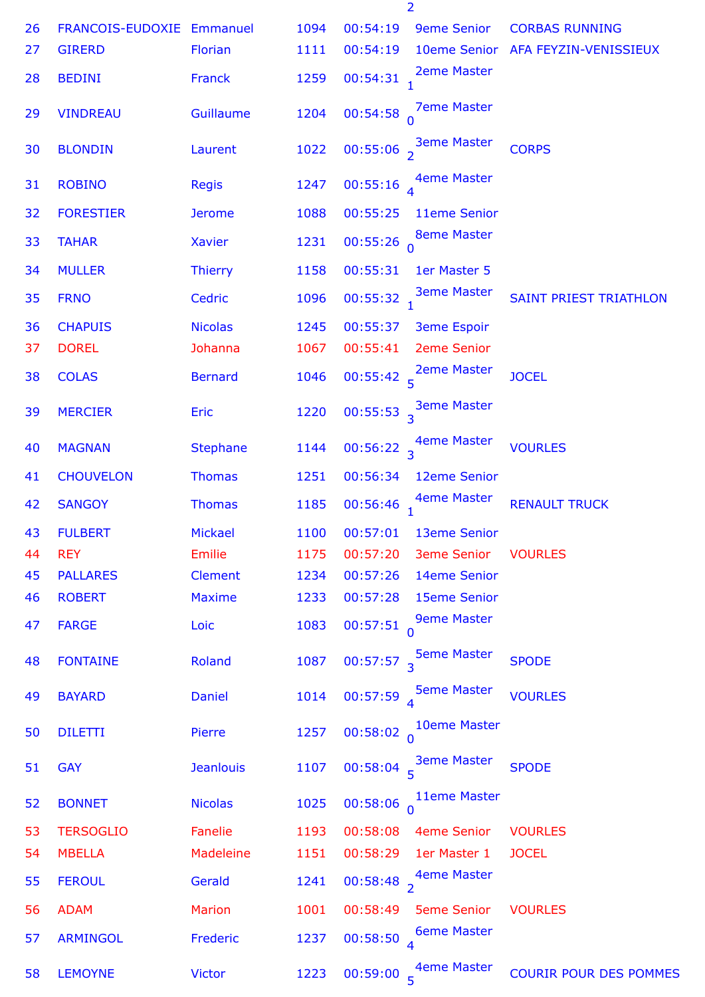|    |                           |                  |      |                         | $\overline{2}$                                 |                                    |
|----|---------------------------|------------------|------|-------------------------|------------------------------------------------|------------------------------------|
| 26 | FRANCOIS-EUDOXIE Emmanuel |                  | 1094 | 00:54:19                | <b>9eme Senior</b>                             | <b>CORBAS RUNNING</b>              |
| 27 | <b>GIRERD</b>             | <b>Florian</b>   | 1111 | 00:54:19                |                                                | 10eme Senior AFA FEYZIN-VENISSIEUX |
| 28 | <b>BEDINI</b>             | <b>Franck</b>    | 1259 | 00:54:31                | <b>2eme Master</b>                             |                                    |
| 29 | <b>VINDREAU</b>           | Guillaume        | 1204 | 00:54:58                | <b>7eme Master</b>                             |                                    |
| 30 | <b>BLONDIN</b>            | Laurent          | 1022 |                         | 00:55:06 $\frac{3eme\text{ Master}}{2}$        | <b>CORPS</b>                       |
| 31 | <b>ROBINO</b>             | <b>Regis</b>     | 1247 | 00:55:16                | 4eme Master                                    |                                    |
| 32 | <b>FORESTIER</b>          | <b>Jerome</b>    | 1088 | 00:55:25                | 11eme Senior                                   |                                    |
| 33 | <b>TAHAR</b>              | <b>Xavier</b>    | 1231 | 00:55:26                | <b>8eme Master</b>                             |                                    |
| 34 | <b>MULLER</b>             | <b>Thierry</b>   | 1158 | 00:55:31                | 1er Master 5                                   |                                    |
| 35 | <b>FRNO</b>               | Cedric           | 1096 | 00:55:32                | <b>3eme Master</b>                             | <b>SAINT PRIEST TRIATHLON</b>      |
| 36 | <b>CHAPUIS</b>            | <b>Nicolas</b>   | 1245 | 00:55:37                | <b>3eme Espoir</b>                             |                                    |
| 37 | <b>DOREL</b>              | Johanna          | 1067 | 00:55:41                | <b>2eme Senior</b>                             |                                    |
| 38 | <b>COLAS</b>              | <b>Bernard</b>   | 1046 | 00:55:42 <sub>5</sub>   | <b>2eme Master</b>                             | <b>JOCEL</b>                       |
| 39 | <b>MERCIER</b>            | <b>Eric</b>      | 1220 |                         | 00:55:53 $\frac{3}{3}$ eme Master              |                                    |
| 40 | <b>MAGNAN</b>             | <b>Stephane</b>  | 1144 |                         | 00:56:22 $\frac{4}{3}$ <sup>4</sup> eme Master | <b>VOURLES</b>                     |
| 41 | <b>CHOUVELON</b>          | <b>Thomas</b>    | 1251 | 00:56:34                | 12eme Senior                                   |                                    |
| 42 | <b>SANGOY</b>             | <b>Thomas</b>    | 1185 | 00:56:46                | 4eme Master                                    | <b>RENAULT TRUCK</b>               |
| 43 | <b>FULBERT</b>            | <b>Mickael</b>   | 1100 | 00:57:01                | 13eme Senior                                   |                                    |
| 44 | <b>REY</b>                | <b>Emilie</b>    | 1175 | 00:57:20                | <b>3eme Senior</b>                             | <b>VOURLES</b>                     |
| 45 | <b>PALLARES</b>           | <b>Clement</b>   | 1234 | 00:57:26                | 14eme Senior                                   |                                    |
| 46 | <b>ROBERT</b>             | <b>Maxime</b>    | 1233 | 00:57:28                | <b>15eme Senior</b>                            |                                    |
| 47 | <b>FARGE</b>              | Loic             | 1083 | 00:57:51                | <b>9eme Master</b>                             |                                    |
| 48 | <b>FONTAINE</b>           | Roland           | 1087 | 00:57:57 <sub>3</sub>   | <b>5eme Master</b>                             | <b>SPODE</b>                       |
| 49 | <b>BAYARD</b>             | Daniel           | 1014 | $00:57:59$ <sup>4</sup> | <b>5eme Master</b>                             | <b>VOURLES</b>                     |
| 50 | <b>DILETTI</b>            | Pierre           | 1257 |                         | 00:58:02 $\frac{10}{0}$ Oeme Master            |                                    |
| 51 | <b>GAY</b>                | <b>Jeanlouis</b> | 1107 |                         | 00:58:04 $\frac{3eme\text{ Master}}{5}$        | <b>SPODE</b>                       |
| 52 | <b>BONNET</b>             | <b>Nicolas</b>   | 1025 | $00:58:06$ <sup>0</sup> | 11eme Master                                   |                                    |
| 53 | <b>TERSOGLIO</b>          | Fanelie          | 1193 | 00:58:08                | 4eme Senior                                    | <b>VOURLES</b>                     |
| 54 | <b>MBELLA</b>             | Madeleine        | 1151 | 00:58:29                | 1er Master 1                                   | <b>JOCEL</b>                       |
| 55 | <b>FEROUL</b>             | Gerald           | 1241 |                         | 00:58:48 $\frac{4}{2}$ aleme Master            |                                    |
| 56 | <b>ADAM</b>               | <b>Marion</b>    | 1001 | 00:58:49                | <b>5eme Senior</b>                             | <b>VOURLES</b>                     |
| 57 | <b>ARMINGOL</b>           | Frederic         | 1237 | 00:58:50                | <b>6eme Master</b><br>$\overline{4}$           |                                    |
| 58 | <b>LEMOYNE</b>            | <b>Victor</b>    | 1223 | $00:59:00^{6}$          | <b>4eme Master</b>                             | <b>COURIR POUR DES POMMES</b>      |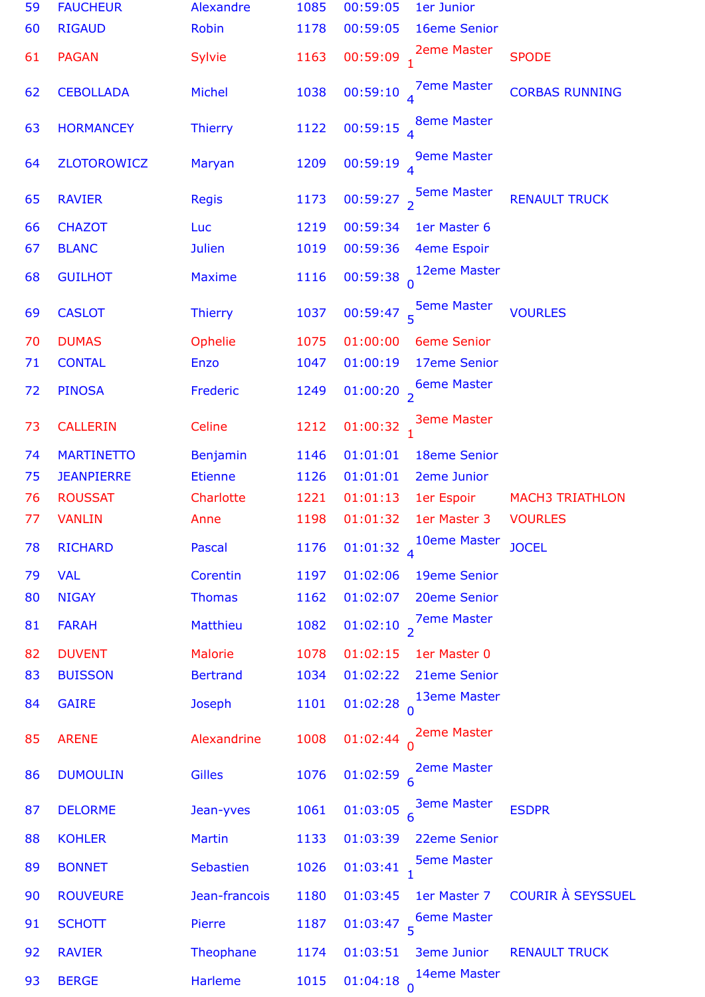| 59 | <b>FAUCHEUR</b>   | Alexandre        | 1085 | 00:59:05<br>1er Junior                                          |
|----|-------------------|------------------|------|-----------------------------------------------------------------|
| 60 | <b>RIGAUD</b>     | <b>Robin</b>     | 1178 | 00:59:05<br>16eme Senior                                        |
| 61 | <b>PAGAN</b>      | Sylvie           | 1163 | <b>2eme Master</b><br>00:59:09<br><b>SPODE</b>                  |
| 62 | <b>CEBOLLADA</b>  | <b>Michel</b>    | 1038 | <b>7eme Master</b><br>00:59:10<br><b>CORBAS RUNNING</b>         |
| 63 | <b>HORMANCEY</b>  | <b>Thierry</b>   | 1122 | <b>8eme Master</b><br>00:59:15                                  |
| 64 | ZLOTOROWICZ       | Maryan           | 1209 | <b>9eme Master</b><br>00:59:19                                  |
| 65 | <b>RAVIER</b>     | <b>Regis</b>     | 1173 | <b>5eme Master</b><br>00:59:27<br><b>RENAULT TRUCK</b>          |
| 66 | <b>CHAZOT</b>     | Luc              | 1219 | 00:59:34<br>1er Master 6                                        |
| 67 | <b>BLANC</b>      | <b>Julien</b>    | 1019 | 00:59:36<br>4eme Espoir                                         |
| 68 | <b>GUILHOT</b>    | <b>Maxime</b>    | 1116 | 12eme Master<br>$00:59:38$ <sup>0</sup>                         |
| 69 | <b>CASLOT</b>     | <b>Thierry</b>   | 1037 | <b>5eme Master</b><br>$00:59:47$ <sub>5</sub><br><b>VOURLES</b> |
| 70 | <b>DUMAS</b>      | Ophelie          | 1075 | 01:00:00<br><b>6eme Senior</b>                                  |
| 71 | <b>CONTAL</b>     | <b>Enzo</b>      | 1047 | 01:00:19<br>17eme Senior                                        |
| 72 | <b>PINOSA</b>     | Frederic         | 1249 | <b>6eme Master</b><br>01:00:20 $_2$                             |
| 73 | <b>CALLERIN</b>   | Celine           | 1212 | <b>3eme Master</b><br>$01:00:32$ <sub>1</sub>                   |
| 74 | <b>MARTINETTO</b> | <b>Benjamin</b>  | 1146 | 01:01:01<br><b>18eme Senior</b>                                 |
| 75 | <b>JEANPIERRE</b> | <b>Etienne</b>   | 1126 | 01:01:01<br><b>2eme Junior</b>                                  |
| 76 | <b>ROUSSAT</b>    | Charlotte        | 1221 | 01:01:13<br>1er Espoir<br><b>MACH3 TRIATHLON</b>                |
| 77 | <b>VANLIN</b>     | Anne             | 1198 | 01:01:32<br><b>VOURLES</b><br>1er Master 3                      |
| 78 | <b>RICHARD</b>    | Pascal           | 1176 | 10eme Master<br>01:01:32 $_4$<br><b>JOCEL</b>                   |
| 79 | <b>VAL</b>        | Corentin         | 1197 | 01:02:06<br><b>19eme Senior</b>                                 |
| 80 | <b>NIGAY</b>      | <b>Thomas</b>    | 1162 | 20eme Senior<br>01:02:07                                        |
| 81 | <b>FARAH</b>      | <b>Matthieu</b>  | 1082 | <b>7eme Master</b><br>$01:02:10$ <sub>2</sub>                   |
| 82 | <b>DUVENT</b>     | <b>Malorie</b>   | 1078 | 01:02:15<br>1er Master 0                                        |
| 83 | <b>BUISSON</b>    | <b>Bertrand</b>  | 1034 | 01:02:22<br>21eme Senior                                        |
| 84 | <b>GAIRE</b>      | <b>Joseph</b>    | 1101 | 13eme Master<br>$01:02:28$ <sup>0</sup>                         |
| 85 | <b>ARENE</b>      | Alexandrine      | 1008 | <b>2eme Master</b><br>01:02:44                                  |
| 86 | <b>DUMOULIN</b>   | <b>Gilles</b>    | 1076 | <b>2eme Master</b><br>$01:02:59$ <sup>6</sup>                   |
| 87 | <b>DELORME</b>    | Jean-yves        | 1061 | <b>3eme Master</b><br>01:03:05<br><b>ESDPR</b>                  |
| 88 | <b>KOHLER</b>     | <b>Martin</b>    | 1133 | 01:03:39<br>22eme Senior                                        |
| 89 | <b>BONNET</b>     | <b>Sebastien</b> | 1026 | <b>5eme Master</b><br>$01:03:41$ <sub>1</sub>                   |
| 90 | <b>ROUVEURE</b>   | Jean-francois    | 1180 | <b>COURIR À SEYSSUEL</b><br>01:03:45<br>1er Master 7            |
| 91 | <b>SCHOTT</b>     | Pierre           | 1187 | 01:03:47 $\frac{6}{5}$ 6eme Master                              |
| 92 | <b>RAVIER</b>     | Theophane        | 1174 | 01:03:51<br><b>3eme Junior</b><br><b>RENAULT TRUCK</b>          |
| 93 | <b>BERGE</b>      | <b>Harleme</b>   | 1015 | 14eme Master<br>$01:04:18$ 0                                    |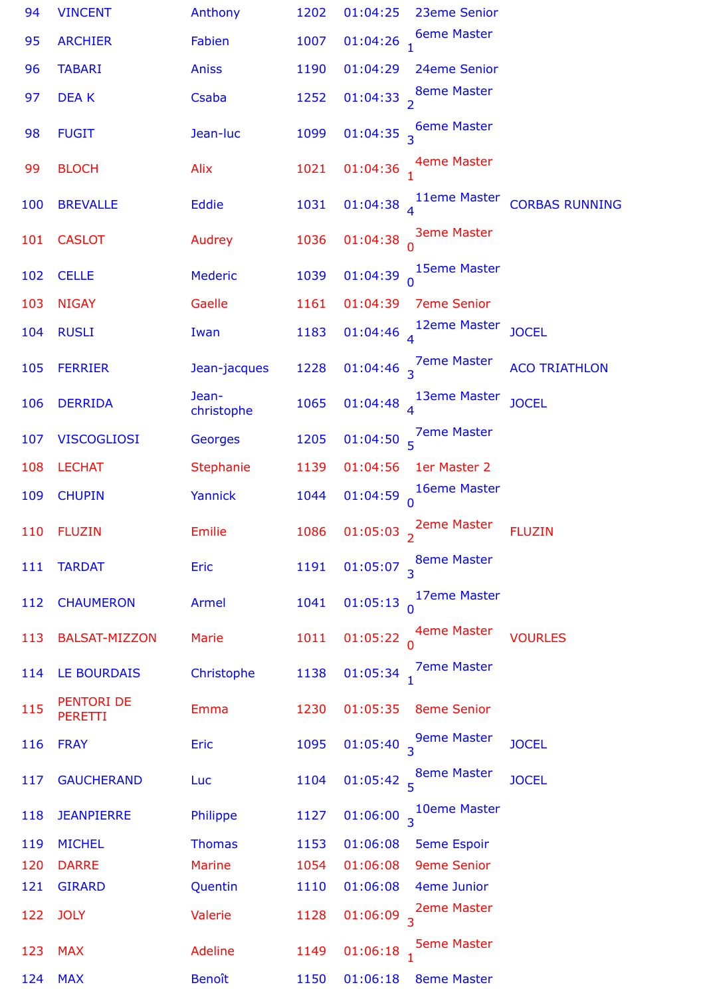| 94  | <b>VINCENT</b>               | Anthony             | 1202 | 01:04:25<br>23eme Senior                                       |
|-----|------------------------------|---------------------|------|----------------------------------------------------------------|
| 95  | <b>ARCHIER</b>               | Fabien              | 1007 | <b>6eme Master</b><br>$01:04:26$ <sub>1</sub>                  |
| 96  | <b>TABARI</b>                | <b>Aniss</b>        | 1190 | 01:04:29<br>24eme Senior                                       |
| 97  | <b>DEAK</b>                  | Csaba               | 1252 | 01:04:33 $\frac{8}{2}$ <sup>8eme Master</sup>                  |
| 98  | <b>FUGIT</b>                 | Jean-luc            | 1099 | 01:04:35 $\frac{6}{3}$ of Master                               |
| 99  | <b>BLOCH</b>                 | Alix                | 1021 | 01:04:36 $\frac{4}{1}$ <sup>4</sup> eme Master                 |
| 100 | <b>BREVALLE</b>              | Eddie               | 1031 | 01:04:38 11eme Master CORBAS RUNNING                           |
| 101 | <b>CASLOT</b>                | Audrey              | 1036 | <b>3eme Master</b><br>$01:04:38$ <sup>0</sup>                  |
| 102 | <b>CELLE</b>                 | <b>Mederic</b>      | 1039 | 01:04:39 $\int_{0}^{15$ eme Master                             |
| 103 | <b>NIGAY</b>                 | Gaelle              | 1161 | 01:04:39<br><b>7eme Senior</b>                                 |
| 104 | <b>RUSLI</b>                 | Iwan                | 1183 | 12eme Master<br><b>JOCEL</b><br>01:04:46 $\overline{A}$        |
| 105 | <b>FERRIER</b>               | Jean-jacques        | 1228 | 01:04:46 $\frac{7}{3}$ Pme Master<br><b>ACO TRIATHLON</b>      |
| 106 | <b>DERRIDA</b>               | Jean-<br>christophe | 1065 | 01:04:48 $\frac{13em}{4}$ Master<br><b>JOCEL</b>               |
| 107 | <b>VISCOGLIOSI</b>           | <b>Georges</b>      | 1205 | 01:04:50 $\frac{7}{5}$ <sup>7</sup> eme Master                 |
| 108 | <b>LECHAT</b>                | Stephanie           | 1139 | 01:04:56<br>1er Master 2                                       |
| 109 | <b>CHUPIN</b>                | Yannick             | 1044 | 01:04:59 $\begin{matrix} 16$ eme Master                        |
| 110 | <b>FLUZIN</b>                | Emilie              | 1086 | 01:05:03 $\sim$ 2eme Master<br><b>FLUZIN</b>                   |
| 111 | <b>TARDAT</b>                | Eric                | 1191 | 01:05:07 $\frac{8}{3}$ <sup>8eme</sup> Master                  |
| 112 | <b>CHAUMERON</b>             | Armel               | 1041 | 01:05:13 $\int_{0}^{17$ eme Master                             |
| 113 | <b>BALSAT-MIZZON</b>         | Marie               | 1011 | 01:05:22 $\alpha$ <sup>4eme Master</sup><br><b>VOURLES</b>     |
| 114 | <b>LE BOURDAIS</b>           | Christophe          | 1138 | 01:05:34 $\frac{7}{1}$ <sup>7</sup> eme Master                 |
| 115 | PENTORI DE<br><b>PERETTI</b> | <b>Emma</b>         | 1230 | 01:05:35 8eme Senior                                           |
| 116 | <b>FRAY</b>                  | <b>Eric</b>         | 1095 | 01:05:40 $\frac{9}{3}$ <sup>9</sup> eme Master<br><b>JOCEL</b> |
| 117 | <b>GAUCHERAND</b>            | Luc                 | 1104 | 01:05:42 $_5^8$ eme Master<br><b>JOCEL</b>                     |
| 118 | <b>JEANPIERRE</b>            | Philippe            | 1127 | 01:06:00 $\frac{10}{3}$ <sup>10eme</sup> Master                |
| 119 | <b>MICHEL</b>                | <b>Thomas</b>       | 1153 | 01:06:08 5eme Espoir                                           |
| 120 | <b>DARRE</b>                 | <b>Marine</b>       | 1054 | 01:06:08<br><b>9eme Senior</b>                                 |
| 121 | <b>GIRARD</b>                | Quentin             | 1110 | 4eme Junior<br>01:06:08                                        |
| 122 | <b>JOLY</b>                  | Valerie             | 1128 | 01:06:09 $\frac{2}{3}$ <sup>2</sup> eme Master                 |
| 123 | <b>MAX</b>                   | Adeline             | 1149 | $01:06:18$ <sup>J</sup> Seme Master                            |
| 124 | <b>MAX</b>                   | <b>Benoît</b>       | 1150 | 01:06:18<br><b>8eme Master</b>                                 |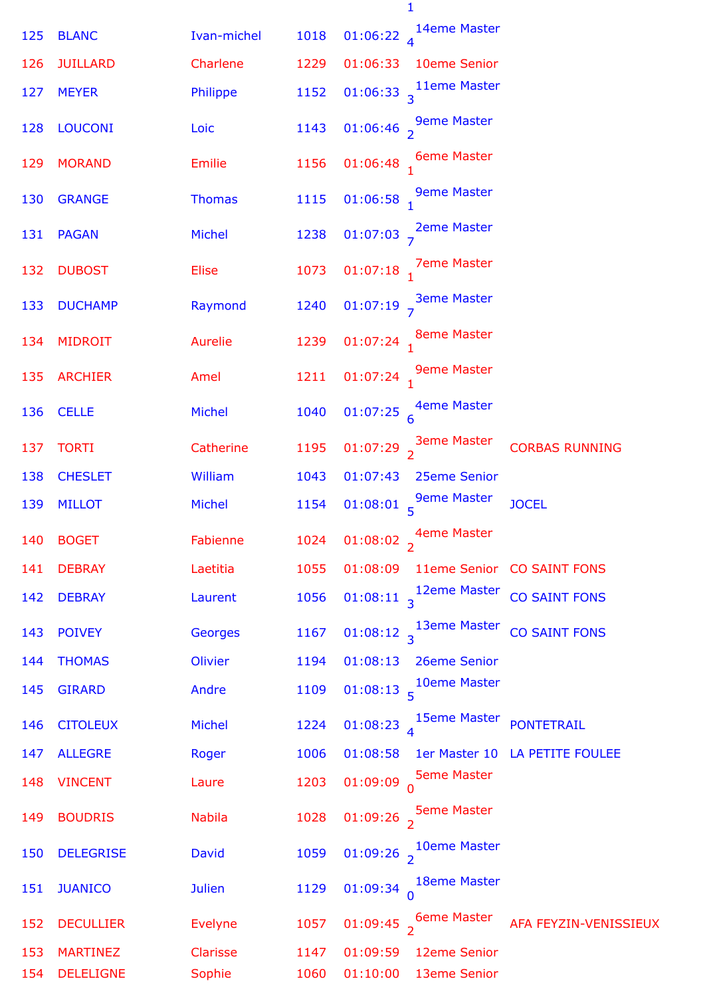|     |                  |                |      | $\mathbf{1}$                                                           |
|-----|------------------|----------------|------|------------------------------------------------------------------------|
| 125 | <b>BLANC</b>     | Ivan-michel    | 1018 | 14eme Master<br>01:06:22 $_4$                                          |
| 126 | <b>JUILLARD</b>  | Charlene       | 1229 | 01:06:33<br>10eme Senior                                               |
| 127 | <b>MEYER</b>     | Philippe       | 1152 | 01:06:33 $\frac{11}{3}$ Theme Master                                   |
| 128 | <b>LOUCONI</b>   | Loic           | 1143 | 01:06:46 $\frac{9}{2}$ <sup>9</sup> eme Master                         |
| 129 | <b>MORAND</b>    | Emilie         | 1156 | 01:06:48 $\frac{6}{1}$ 6eme Master                                     |
| 130 | <b>GRANGE</b>    | <b>Thomas</b>  | 1115 | 01:06:58 $\frac{9}{1}$ <sup>9</sup> eme Master                         |
| 131 | <b>PAGAN</b>     | <b>Michel</b>  | 1238 | 01:07:03 $\frac{2}{7}$ <sup>2eme Master</sup>                          |
| 132 | <b>DUBOST</b>    | Elise          | 1073 | 01:07:18 $\frac{7}{1}$ 7eme Master                                     |
| 133 | <b>DUCHAMP</b>   | Raymond        | 1240 | 01:07:19 $\frac{3}{7}$ <sup>3eme Master</sup>                          |
| 134 | <b>MIDROIT</b>   | Aurelie        | 1239 | 01:07:24 $_1$ <sup>8eme Master</sup>                                   |
| 135 | <b>ARCHIER</b>   | Amel           | 1211 | 01:07:24 $\frac{9}{1}$ <sup>9</sup> eme Master                         |
| 136 | <b>CELLE</b>     | Michel         | 1040 | 01:07:25 $\frac{4}{6}$ eme Master                                      |
| 137 | <b>TORTI</b>     | Catherine      | 1195 | 01:07:29 $\frac{3}{2}$ <sup>3eme Master</sup><br><b>CORBAS RUNNING</b> |
| 138 | <b>CHESLET</b>   | William        | 1043 | 01:07:43<br>25eme Senior                                               |
| 139 | <b>MILLOT</b>    | Michel         | 1154 | 01:08:01 $\frac{9}{5}$ Seme Master<br><b>JOCEL</b>                     |
| 140 | <b>BOGET</b>     | Fabienne       | 1024 | 01:08:02 $\frac{4}{2}$ <sup>4</sup> eme Master                         |
| 141 | <b>DEBRAY</b>    | Laetitia       | 1055 | 01:08:09<br>11eme Senior CO SAINT FONS                                 |
| 142 | <b>DEBRAY</b>    | Laurent        | 1056 | 01:08:11 $\frac{12em}{13}$<br>CO SAINT FONS                            |
| 143 | <b>POIVEY</b>    | <b>Georges</b> | 1167 | 01:08:12 $\frac{13em}{3}$ Master<br><b>CO SAINT FONS</b>               |
| 144 | <b>THOMAS</b>    | Olivier        | 1194 | 01:08:13<br>26eme Senior                                               |
| 145 | <b>GIRARD</b>    | Andre          | 1109 | 10eme Master<br>01:08:13                                               |
| 146 | <b>CITOLEUX</b>  | <b>Michel</b>  | 1224 | 01:08:23 $\frac{15}{4}$ Seme Master<br><b>PONTETRAIL</b>               |
| 147 | <b>ALLEGRE</b>   | Roger          | 1006 | 01:08:58<br>1er Master 10 LA PETITE FOULEE                             |
| 148 | <b>VINCENT</b>   | Laure          | 1203 | <b>5eme Master</b><br>$01:09:09$ <sup>0</sup>                          |
| 149 | <b>BOUDRIS</b>   | <b>Nabila</b>  | 1028 | <b>5eme Master</b><br>01:09:26 $\frac{1}{2}$                           |
| 150 | <b>DELEGRISE</b> | <b>David</b>   | 1059 | 01:09:26 $\frac{10}{2}$ <sup>10eme</sup> Master                        |
| 151 | <b>JUANICO</b>   | <b>Julien</b>  | 1129 | 18eme Master<br>$01:09:34$ <sup>0</sup>                                |
| 152 | <b>DECULLIER</b> | <b>Evelyne</b> | 1057 | 01:09:45 $\frac{6}{2}$ 6eme Master<br>AFA FEYZIN-VENISSIEUX            |
| 153 | <b>MARTINEZ</b>  | Clarisse       | 1147 | 01:09:59<br>12eme Senior                                               |
| 154 | <b>DELELIGNE</b> | Sophie         | 1060 | 01:10:00<br>13eme Senior                                               |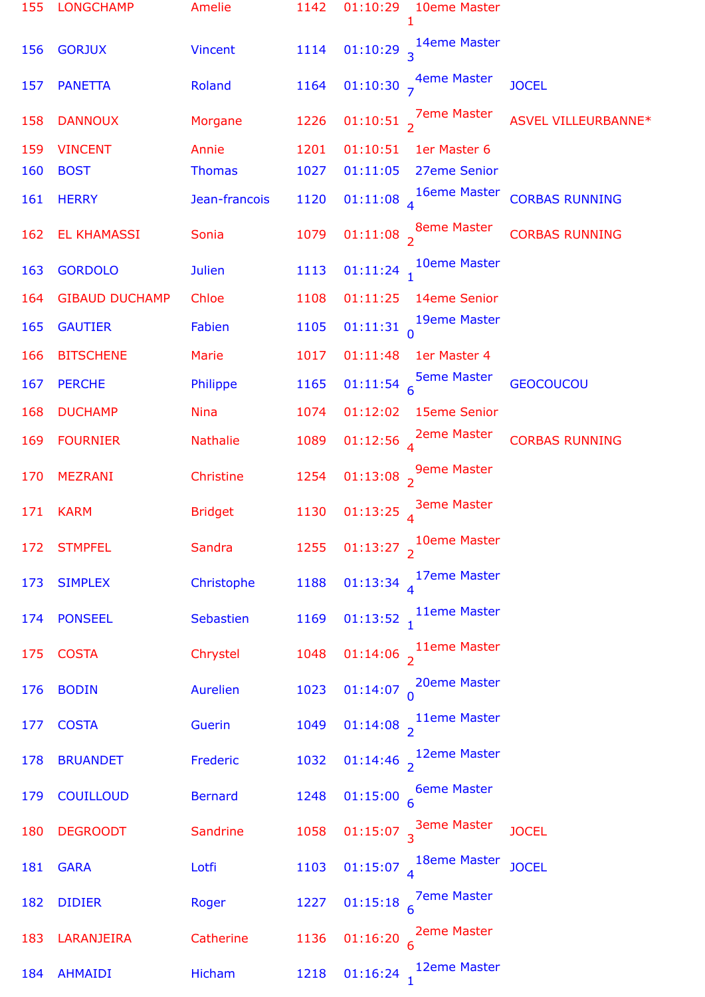| 155 | <b>LONGCHAMP</b>      | Amelie          | 1142 | 01:10:29<br>10eme Master<br>1                    |                       |
|-----|-----------------------|-----------------|------|--------------------------------------------------|-----------------------|
| 156 | <b>GORJUX</b>         | <b>Vincent</b>  | 1114 | 01:10:29 $\frac{14}{3}$ <sup>14eme</sup> Master  |                       |
| 157 | <b>PANETTA</b>        | Roland          | 1164 | 01:10:30 $\frac{4}{7}$ <sup>4eme Master</sup>    | <b>JOCEL</b>          |
| 158 | <b>DANNOUX</b>        | Morgane         | 1226 | 01:10:51 $\frac{7}{2}$ 7eme Master               | ASVEL VILLEURBANNE*   |
| 159 | <b>VINCENT</b>        | Annie           | 1201 | 01:10:51<br>1er Master 6                         |                       |
| 160 | <b>BOST</b>           | <b>Thomas</b>   | 1027 | 01:11:05<br>27eme Senior                         |                       |
| 161 | <b>HERRY</b>          | Jean-francois   | 1120 | 01:11:08 $\frac{16}{4}$ Theme Master             | <b>CORBAS RUNNING</b> |
| 162 | <b>EL KHAMASSI</b>    | Sonia           | 1079 | 01:11:08 $\frac{8}{2}$ <sup>8eme Master</sup>    | <b>CORBAS RUNNING</b> |
| 163 | <b>GORDOLO</b>        | <b>Julien</b>   | 1113 | 10eme Master<br>$01:11:24$ <sub>1</sub>          |                       |
| 164 | <b>GIBAUD DUCHAMP</b> | Chloe           | 1108 | 01:11:25<br>14eme Senior                         |                       |
| 165 | <b>GAUTIER</b>        | Fabien          | 1105 | 01:11:31 $\begin{matrix} 19$ eme Master          |                       |
| 166 | <b>BITSCHENE</b>      | Marie           | 1017 | 01:11:48<br>1er Master 4                         |                       |
| 167 | <b>PERCHE</b>         | Philippe        | 1165 | 01:11:54 $\frac{5}{6}$ Seme Master               | <b>GEOCOUCOU</b>      |
| 168 | <b>DUCHAMP</b>        | <b>Nina</b>     | 1074 | 01:12:02<br>15eme Senior                         |                       |
| 169 | <b>FOURNIER</b>       | <b>Nathalie</b> | 1089 | 01:12:56 $\frac{2}{4}$ 2eme Master               | <b>CORBAS RUNNING</b> |
| 170 | <b>MEZRANI</b>        | Christine       | 1254 | 01:13:08 $\frac{9}{2}$ <sup>9</sup> eme Master   |                       |
| 171 | <b>KARM</b>           | <b>Bridget</b>  | 1130 | 01:13:25 $\int_{A}$ 3eme Master                  |                       |
| 172 | <b>STMPFEL</b>        | Sandra          | 1255 | 01:13:27 $\frac{10}{2}$ 10eme Master             |                       |
| 173 | <b>SIMPLEX</b>        | Christophe      | 1188 | 01:13:34 $\frac{17em$ e Master                   |                       |
| 174 | <b>PONSEEL</b>        | Sebastien       | 1169 | 01:13:52 $\frac{1}{1}$ <sup>11eme</sup> Master   |                       |
| 175 | <b>COSTA</b>          | Chrystel        | 1048 | 01:14:06 $\frac{1}{2}$ <sup>11eme</sup> Master   |                       |
| 176 | <b>BODIN</b>          | <b>Aurelien</b> | 1023 | 01:14:07 $\bigcap_{n=0}^{\infty}$ 20eme Master   |                       |
| 177 | <b>COSTA</b>          | Guerin          | 1049 | 01:14:08 $\frac{1}{2}$ <sup>11eme</sup> Master   |                       |
| 178 | <b>BRUANDET</b>       | Frederic        | 1032 | 01:14:46 $\frac{12}{2}$ <sup>12</sup> eme Master |                       |
| 179 | <b>COUILLOUD</b>      | <b>Bernard</b>  | 1248 | 01:15:00 $\frac{6}{6}$ Master                    |                       |
| 180 | <b>DEGROODT</b>       | Sandrine        | 1058 | 01:15:07 $\frac{3}{3}$ <sup>3</sup> eme Master   | <b>JOCEL</b>          |
| 181 | <b>GARA</b>           | Lotfi           | 1103 | 01:15:07 $4^{18$ eme Master                      | <b>JOCEL</b>          |
| 182 | <b>DIDIER</b>         | Roger           | 1227 | 01:15:18 $\frac{7}{6}$ Teme Master               |                       |
| 183 | LARANJEIRA            | Catherine       | 1136 | 01:16:20 $\frac{2}{6}$ <sup>2</sup> eme Master   |                       |
| 184 | <b>AHMAIDI</b>        | Hicham          | 1218 | 12eme Master<br>01:16:24                         |                       |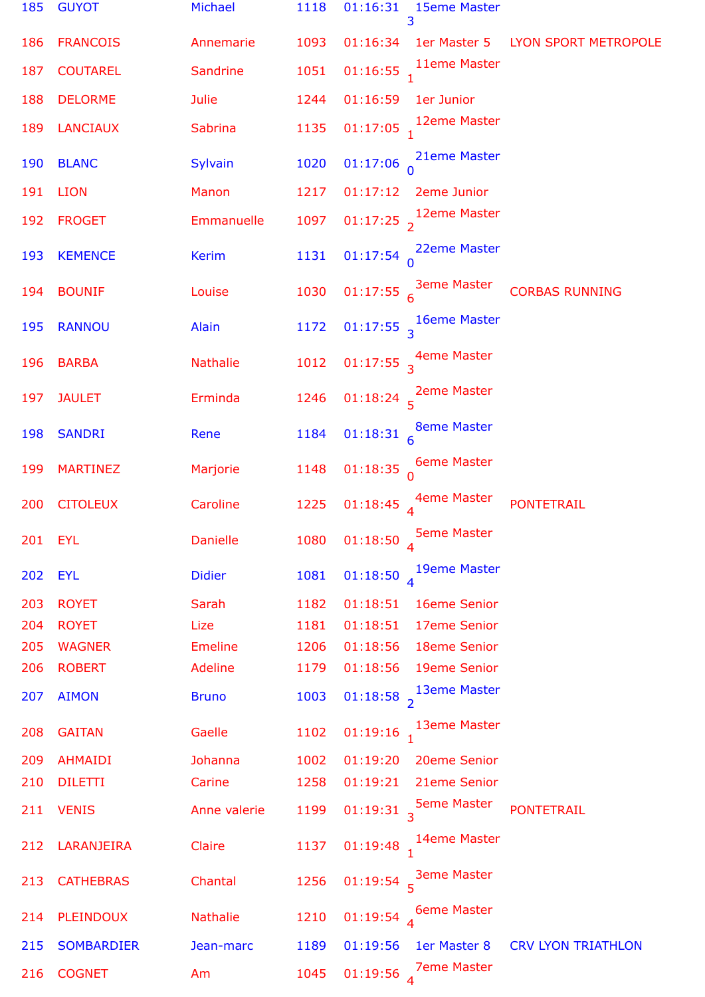| 185 | <b>GUYOT</b>      | <b>Michael</b>  | 1118 | 01:16:31<br>15eme Master<br>3                  |                                   |
|-----|-------------------|-----------------|------|------------------------------------------------|-----------------------------------|
| 186 | <b>FRANCOIS</b>   | Annemarie       | 1093 | 01:16:34                                       | 1er Master 5 LYON SPORT METROPOLE |
| 187 | <b>COUTAREL</b>   | Sandrine        | 1051 | 11eme Master<br>$01:16:55$ <sub>1</sub>        |                                   |
| 188 | <b>DELORME</b>    | <b>Julie</b>    | 1244 | 01:16:59<br>1er Junior                         |                                   |
| 189 | <b>LANCIAUX</b>   | <b>Sabrina</b>  | 1135 | 12eme Master<br>$01:17:05$ <sub>1</sub>        |                                   |
| 190 | <b>BLANC</b>      | Sylvain         | 1020 | 21eme Master<br>01:17:06                       |                                   |
| 191 | <b>LION</b>       | Manon           | 1217 | 01:17:12<br>2eme Junior                        |                                   |
| 192 | <b>FROGET</b>     | Emmanuelle      | 1097 | 12eme Master<br>$01:17:25$ <sub>2</sub>        |                                   |
| 193 | <b>KEMENCE</b>    | <b>Kerim</b>    | 1131 | 22eme Master<br>$01:17:54$ <sup>0</sup>        |                                   |
| 194 | <b>BOUNIF</b>     | Louise          | 1030 | 01:17:55 $\frac{3em}{6}$ Master                | <b>CORBAS RUNNING</b>             |
| 195 | <b>RANNOU</b>     | Alain           | 1172 | 16eme Master<br>01:17:55 <sub>3</sub>          |                                   |
| 196 | <b>BARBA</b>      | <b>Nathalie</b> | 1012 | 01:17:55 $\frac{4}{3}$ <sup>4</sup> eme Master |                                   |
| 197 | <b>JAULET</b>     | Erminda         | 1246 | 01:18:24 $\frac{2}{5}$ <sup>2</sup> eme Master |                                   |
| 198 | <b>SANDRI</b>     | Rene            | 1184 | <b>8eme Master</b><br>$01:18:31$ 6             |                                   |
| 199 | <b>MARTINEZ</b>   | Marjorie        | 1148 | <b>6eme Master</b><br>01:18:35                 |                                   |
| 200 | <b>CITOLEUX</b>   | Caroline        | 1225 | 01:18:45 $\frac{4}{4}$ eme Master              | <b>PONTETRAIL</b>                 |
| 201 | <b>EYL</b>        | <b>Danielle</b> | 1080 | <b>5eme Master</b><br>01:18:50                 |                                   |
| 202 | <b>EYL</b>        | <b>Didier</b>   | 1081 | 19eme Master<br>01:18:50                       |                                   |
| 203 | <b>ROYET</b>      | Sarah           | 1182 | 01:18:51<br>16eme Senior                       |                                   |
| 204 | <b>ROYET</b>      | Lize            | 1181 | 01:18:51<br>17eme Senior                       |                                   |
| 205 | <b>WAGNER</b>     | <b>Emeline</b>  | 1206 | 01:18:56<br>18eme Senior                       |                                   |
| 206 | <b>ROBERT</b>     | <b>Adeline</b>  | 1179 | 01:18:56<br>19eme Senior                       |                                   |
| 207 | <b>AIMON</b>      | <b>Bruno</b>    | 1003 | 13eme Master<br>$01:18:58$ <sub>2</sub>        |                                   |
| 208 | <b>GAITAN</b>     | Gaelle          | 1102 | 13eme Master<br>01:19:16                       |                                   |
| 209 | <b>AHMAIDI</b>    | Johanna         | 1002 | 01:19:20<br>20eme Senior                       |                                   |
| 210 | <b>DILETTI</b>    | Carine          | 1258 | 01:19:21<br>21eme Senior                       |                                   |
| 211 | <b>VENIS</b>      | Anne valerie    | 1199 | <b>5eme Master</b><br>01:19:31 3               | <b>PONTETRAIL</b>                 |
| 212 | LARANJEIRA        | Claire          | 1137 | 14eme Master<br>01:19:48                       |                                   |
| 213 | <b>CATHEBRAS</b>  | Chantal         | 1256 | <b>3eme Master</b><br>$01:19:54$ <sup>5</sup>  |                                   |
| 214 | <b>PLEINDOUX</b>  | <b>Nathalie</b> | 1210 | <b>6eme Master</b><br>01:19:54                 |                                   |
| 215 | <b>SOMBARDIER</b> | Jean-marc       | 1189 | 01:19:56<br>1er Master 8                       | <b>CRV LYON TRIATHLON</b>         |
| 216 | <b>COGNET</b>     | Am              | 1045 | <b>7eme Master</b><br>01:19:56                 |                                   |
|     |                   |                 |      |                                                |                                   |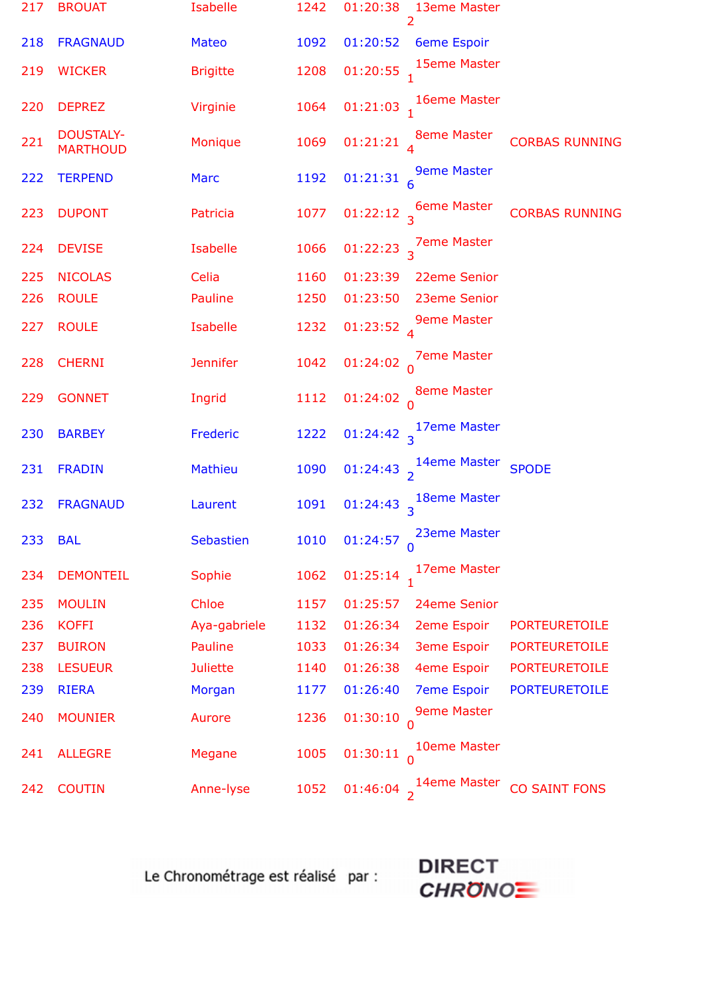| 217 | <b>BROUAT</b>                       | <b>Isabelle</b> | 1242 | 01:20:38<br>13eme Master<br>2                                           |
|-----|-------------------------------------|-----------------|------|-------------------------------------------------------------------------|
| 218 | <b>FRAGNAUD</b>                     | <b>Mateo</b>    | 1092 | 01:20:52<br><b>6eme Espoir</b>                                          |
| 219 | <b>WICKER</b>                       | <b>Brigitte</b> | 1208 | 15eme Master<br>01:20:55                                                |
| 220 | <b>DEPREZ</b>                       | Virginie        | 1064 | 01:21:03 $_1$ 16eme Master                                              |
| 221 | <b>DOUSTALY-</b><br><b>MARTHOUD</b> | Monique         | 1069 | 01:21:21 $\int_{A}$ 8eme Master<br><b>CORBAS RUNNING</b>                |
| 222 | <b>TERPEND</b>                      | <b>Marc</b>     | 1192 | <b>9eme Master</b><br>01:21:31 <sub>6</sub>                             |
| 223 | <b>DUPONT</b>                       | Patricia        | 1077 | 01:22:12 $\frac{6}{3}$ <sup>6</sup> Eme Master<br><b>CORBAS RUNNING</b> |
| 224 | <b>DEVISE</b>                       | Isabelle        | 1066 | 01:22:23 $\frac{7}{3}$ Pme Master                                       |
| 225 | <b>NICOLAS</b>                      | Celia           | 1160 | 01:23:39<br>22eme Senior                                                |
| 226 | <b>ROULE</b>                        | Pauline         | 1250 | 01:23:50<br>23eme Senior                                                |
| 227 | <b>ROULE</b>                        | <b>Isabelle</b> | 1232 | <b>9eme Master</b><br>01:23:52 $_4$                                     |
| 228 | <b>CHERNI</b>                       | <b>Jennifer</b> | 1042 | <b>7eme Master</b><br>01:24:02 <sub>0</sub>                             |
| 229 | <b>GONNET</b>                       | Ingrid          | 1112 | 01:24:02 $\int_{0}^{8}$ eme Master                                      |
| 230 | <b>BARBEY</b>                       | Frederic        | 1222 | 01:24:42 $\frac{17eme Master}{3}$                                       |
| 231 | <b>FRADIN</b>                       | <b>Mathieu</b>  | 1090 | 01:24:43 $\frac{1}{2}$ <sup>14eme</sup> Master<br><b>SPODE</b>          |
| 232 | <b>FRAGNAUD</b>                     | Laurent         | 1091 | 01:24:43 $\frac{18}{3}$ <sup>18eme</sup> Master                         |
| 233 | <b>BAL</b>                          | Sebastien       | 1010 | 23eme Master<br>01:24:57                                                |
| 234 | <b>DEMONTEIL</b>                    | Sophie          | 1062 | 17eme Master<br>01:25:14                                                |
| 235 | <b>MOULIN</b>                       | Chloe           | 1157 | 01:25:57<br>24eme Senior                                                |
| 236 | <b>KOFFI</b>                        | Aya-gabriele    | 1132 | 01:26:34<br>2eme Espoir<br><b>PORTEURETOILE</b>                         |
| 237 | <b>BUIRON</b>                       | <b>Pauline</b>  | 1033 | 01:26:34<br><b>3eme Espoir</b><br><b>PORTEURETOILE</b>                  |
| 238 | <b>LESUEUR</b>                      | <b>Juliette</b> | 1140 | 01:26:38<br>4eme Espoir<br><b>PORTEURETOILE</b>                         |
| 239 | <b>RIERA</b>                        | Morgan          | 1177 | 01:26:40<br><b>7eme Espoir</b><br><b>PORTEURETOILE</b>                  |
| 240 | <b>MOUNIER</b>                      | Aurore          | 1236 | <b>9eme Master</b><br>01:30:10                                          |
| 241 | <b>ALLEGRE</b>                      | Megane          | 1005 | 10eme Master<br>01:30:11                                                |
| 242 | <b>COUTIN</b>                       | Anne-lyse       | 1052 | 14eme Master<br><b>CO SAINT FONS</b><br>01:46:04                        |

Le Chronométrage est réalisé par :

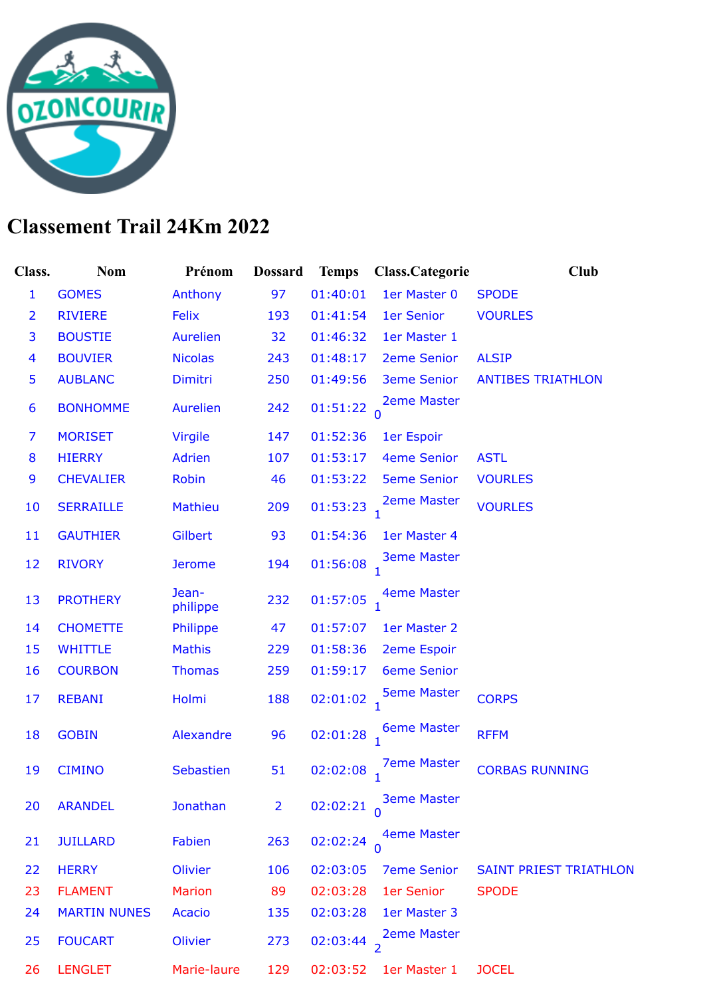

## **Classement Trail 24Km 2022**

| Class.                  | <b>Nom</b>          | Prénom            | <b>Dossard</b> | <b>Temps</b> | Class.Categorie    | <b>Club</b>                   |
|-------------------------|---------------------|-------------------|----------------|--------------|--------------------|-------------------------------|
| $\mathbf{1}$            | <b>GOMES</b>        | Anthony           | 97             | 01:40:01     | 1er Master 0       | <b>SPODE</b>                  |
| $\overline{2}$          | <b>RIVIERE</b>      | Felix             | 193            | 01:41:54     | 1er Senior         | <b>VOURLES</b>                |
| 3                       | <b>BOUSTIE</b>      | <b>Aurelien</b>   | 32             | 01:46:32     | 1er Master 1       |                               |
| $\overline{\mathbf{4}}$ | <b>BOUVIER</b>      | <b>Nicolas</b>    | 243            | 01:48:17     | <b>2eme Senior</b> | <b>ALSIP</b>                  |
| 5                       | <b>AUBLANC</b>      | Dimitri           | 250            | 01:49:56     | <b>3eme Senior</b> | <b>ANTIBES TRIATHLON</b>      |
| 6                       | <b>BONHOMME</b>     | <b>Aurelien</b>   | 242            | 01:51:22     | <b>2eme Master</b> |                               |
| 7                       | <b>MORISET</b>      | <b>Virgile</b>    | 147            | 01:52:36     | 1er Espoir         |                               |
| 8                       | <b>HIERRY</b>       | <b>Adrien</b>     | 107            | 01:53:17     | <b>4eme Senior</b> | <b>ASTL</b>                   |
| 9                       | <b>CHEVALIER</b>    | <b>Robin</b>      | 46             | 01:53:22     | <b>5eme Senior</b> | <b>VOURLES</b>                |
| 10                      | <b>SERRAILLE</b>    | <b>Mathieu</b>    | 209            | 01:53:23     | <b>2eme Master</b> | <b>VOURLES</b>                |
| 11                      | <b>GAUTHIER</b>     | <b>Gilbert</b>    | 93             | 01:54:36     | 1er Master 4       |                               |
| 12                      | <b>RIVORY</b>       | <b>Jerome</b>     | 194            | 01:56:08     | <b>3eme Master</b> |                               |
| 13                      | <b>PROTHERY</b>     | Jean-<br>philippe | 232            | 01:57:05     | <b>4eme Master</b> |                               |
| 14                      | <b>CHOMETTE</b>     | Philippe          | 47             | 01:57:07     | 1er Master 2       |                               |
| 15                      | <b>WHITTLE</b>      | <b>Mathis</b>     | 229            | 01:58:36     | <b>2eme Espoir</b> |                               |
| 16                      | <b>COURBON</b>      | <b>Thomas</b>     | 259            | 01:59:17     | <b>6eme Senior</b> |                               |
| 17                      | <b>REBANI</b>       | Holmi             | 188            | 02:01:02     | <b>5eme Master</b> | <b>CORPS</b>                  |
| 18                      | <b>GOBIN</b>        | Alexandre         | 96             | 02:01:28     | <b>6eme Master</b> | <b>RFFM</b>                   |
| 19                      | <b>CIMINO</b>       | <b>Sebastien</b>  | 51             | 02:02:08     | <b>7eme Master</b> | <b>CORBAS RUNNING</b>         |
| 20                      | <b>ARANDEL</b>      | <b>Jonathan</b>   | $\overline{2}$ | 02:02:21     | <b>3eme Master</b> |                               |
| 21                      | <b>JUILLARD</b>     | Fabien            | 263            | 02:02:24     | <b>4eme Master</b> |                               |
| 22                      | <b>HERRY</b>        | Olivier           | 106            | 02:03:05     | <b>7eme Senior</b> | <b>SAINT PRIEST TRIATHLON</b> |
| 23                      | <b>FLAMENT</b>      | <b>Marion</b>     | 89             | 02:03:28     | 1er Senior         | <b>SPODE</b>                  |
| 24                      | <b>MARTIN NUNES</b> | Acacio            | 135            | 02:03:28     | 1er Master 3       |                               |
| 25                      | <b>FOUCART</b>      | <b>Olivier</b>    | 273            | 02:03:44 2   | <b>2eme Master</b> |                               |
| 26                      | <b>LENGLET</b>      | Marie-laure       | 129            | 02:03:52     | 1er Master 1       | <b>JOCEL</b>                  |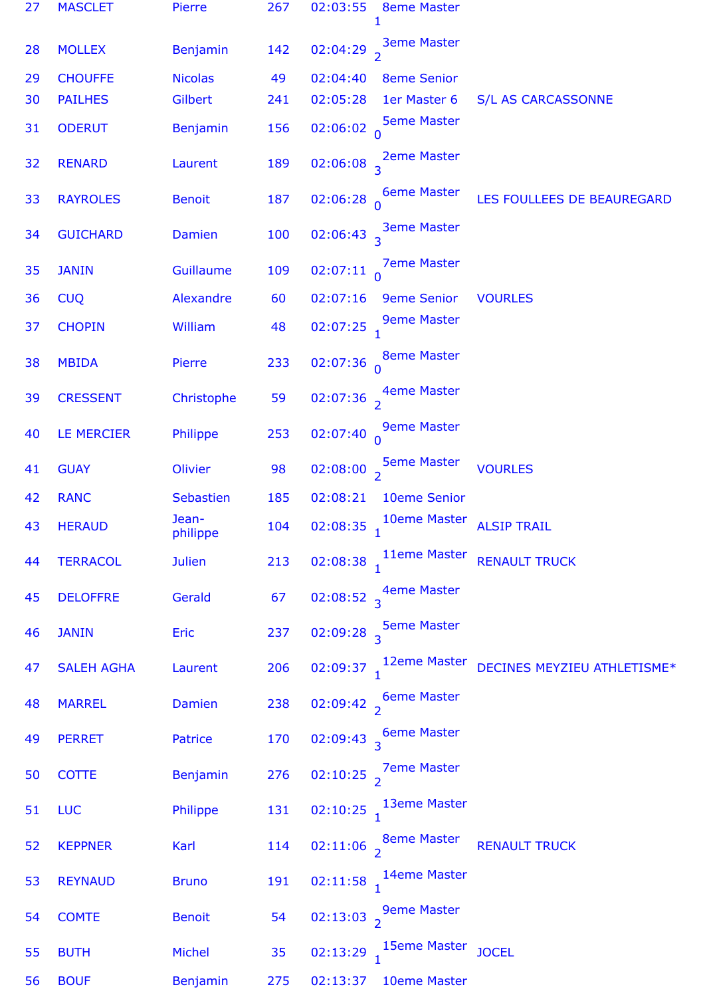| 27 | <b>MASCLET</b>    | Pierre            | 267 | 02:03:55<br><b>8eme Master</b><br>1            |                             |
|----|-------------------|-------------------|-----|------------------------------------------------|-----------------------------|
| 28 | <b>MOLLEX</b>     | Benjamin          | 142 | <b>3eme Master</b><br>02:04:29 $\frac{1}{2}$   |                             |
| 29 | <b>CHOUFFE</b>    | <b>Nicolas</b>    | 49  | 02:04:40<br><b>8eme Senior</b>                 |                             |
| 30 | <b>PAILHES</b>    | Gilbert           | 241 | 02:05:28<br>1er Master 6                       | <b>S/L AS CARCASSONNE</b>   |
| 31 | <b>ODERUT</b>     | <b>Benjamin</b>   | 156 | <b>5eme Master</b><br>02:06:02 <sub>0</sub>    |                             |
| 32 | <b>RENARD</b>     | Laurent           | 189 | 02:06:08 $\frac{2}{3}$ <sup>2</sup> eme Master |                             |
| 33 | <b>RAYROLES</b>   | <b>Benoit</b>     | 187 | 02:06:28 $_0$ 6eme Master                      | LES FOULLEES DE BEAUREGARD  |
| 34 | <b>GUICHARD</b>   | Damien            | 100 | 02:06:43 $\frac{3}{3}$ eme Master              |                             |
| 35 | <b>JANIN</b>      | Guillaume         | 109 | <b>7eme Master</b><br>02:07:11 <sub>0</sub>    |                             |
| 36 | <b>CUQ</b>        | Alexandre         | 60  | <b>9eme Senior</b><br>02:07:16                 | <b>VOURLES</b>              |
| 37 | <b>CHOPIN</b>     | William           | 48  | <b>9eme Master</b><br>$02:07:25$ <sub>1</sub>  |                             |
| 38 | <b>MBIDA</b>      | Pierre            | 233 | <b>8eme Master</b><br>$02:07:36$ <sup>0</sup>  |                             |
| 39 | <b>CRESSENT</b>   | Christophe        | 59  | 02:07:36 $\frac{4}{2}$ <sup>4</sup> eme Master |                             |
| 40 | LE MERCIER        | Philippe          | 253 | <b>9eme Master</b><br>02:07:40 <sub>0</sub>    |                             |
| 41 | <b>GUAY</b>       | Olivier           | 98  | 02:08:00 $\frac{5}{2}$ Seme Master             | <b>VOURLES</b>              |
| 42 | <b>RANC</b>       | Sebastien         | 185 | 02:08:21<br>10eme Senior                       |                             |
| 43 | <b>HERAUD</b>     | Jean-<br>philippe | 104 | 10eme Master<br>02:08:35 $1$                   | <b>ALSIP TRAIL</b>          |
| 44 | <b>TERRACOL</b>   | <b>Julien</b>     | 213 | 02:08:38 11eme Master RENAULT TRUCK            |                             |
| 45 | <b>DELOFFRE</b>   | Gerald            | 67  | 02:08:52 $\frac{4em}{3}$                       |                             |
| 46 | <b>JANIN</b>      | <b>Eric</b>       | 237 | 02:09:28 $\frac{5}{3}$ <sup>5eme Master</sup>  |                             |
| 47 | <b>SALEH AGHA</b> | Laurent           | 206 | 02:09:37 $1^{12eme$ Master                     | DECINES MEYZIEU ATHLETISME* |
| 48 | <b>MARREL</b>     | Damien            | 238 | 02:09:42 $\frac{6}{2}$ <sup>6eme Master</sup>  |                             |
| 49 | <b>PERRET</b>     | Patrice           | 170 | 02:09:43 $\frac{6}{3}$ Seme Master             |                             |
| 50 | <b>COTTE</b>      | Benjamin          | 276 | 02:10:25 $\frac{7}{2}$ 7eme Master             |                             |
| 51 | <b>LUC</b>        | Philippe          | 131 | 02:10:25 $\frac{13em}{1}$ Master               |                             |
| 52 | <b>KEPPNER</b>    | Karl              | 114 | 02:11:06 $\frac{8}{2}$ <sup>8eme</sup> Master  | <b>RENAULT TRUCK</b>        |
| 53 | <b>REYNAUD</b>    | <b>Bruno</b>      | 191 | 02:11:58 $1^{14}$ eme Master                   |                             |
| 54 | <b>COMTE</b>      | <b>Benoit</b>     | 54  | 02:13:03 $\frac{9}{2}$ <sup>9eme Master</sup>  |                             |
| 55 | <b>BUTH</b>       | Michel            | 35  | 02:13:29 $1^{15eme}$ Master                    | <b>JOCEL</b>                |
| 56 | <b>BOUF</b>       | Benjamin          | 275 | 02:13:37  10eme Master                         |                             |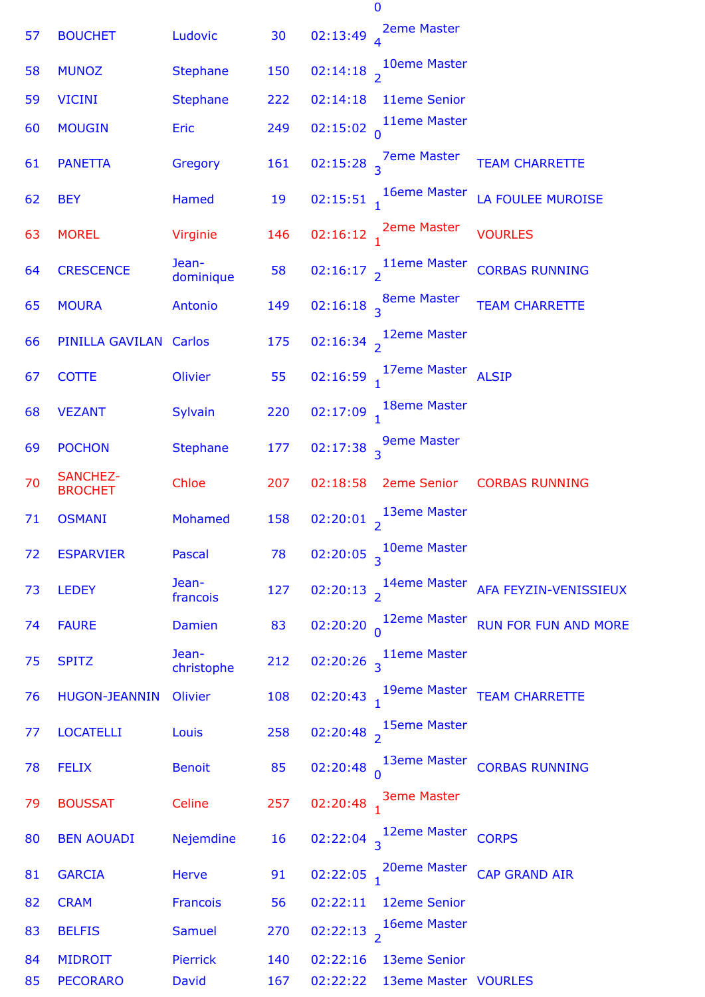| 57 | <b>BOUCHET</b>                    | Ludovic             | 30  | <b>2eme Master</b><br>02:13:49                                            |
|----|-----------------------------------|---------------------|-----|---------------------------------------------------------------------------|
| 58 | <b>MUNOZ</b>                      | <b>Stephane</b>     | 150 | 02:14:18 $\frac{10}{2}$ <sup>10eme</sup> Master                           |
| 59 | <b>VICINI</b>                     | <b>Stephane</b>     | 222 | 11eme Senior<br>02:14:18                                                  |
| 60 | <b>MOUGIN</b>                     | Eric                | 249 | 11eme Master<br>02:15:02 <sub>n</sub>                                     |
| 61 | <b>PANETTA</b>                    | Gregory             | 161 | 02:15:28 $\frac{7}{3}$ Pme Master<br><b>TEAM CHARRETTE</b>                |
| 62 | <b>BEY</b>                        | Hamed               | 19  | 02:15:51 $1^{6eme}$ Master<br><b>LA FOULEE MUROISE</b>                    |
| 63 | <b>MOREL</b>                      | Virginie            | 146 | 02:16:12 $\frac{1}{1}$ 2eme Master<br><b>VOURLES</b>                      |
| 64 | <b>CRESCENCE</b>                  | Jean-<br>dominique  | 58  | 02:16:17 $\frac{1}{2}$ 11eme Master<br><b>CORBAS RUNNING</b>              |
| 65 | <b>MOURA</b>                      | Antonio             | 149 | 02:16:18 $\frac{8}{3}$ <sup>8eme Master</sup><br><b>TEAM CHARRETTE</b>    |
| 66 | PINILLA GAVILAN                   | Carlos              | 175 | 02:16:34 $\frac{12}{2}$ <sup>12eme</sup> Master                           |
| 67 | <b>COTTE</b>                      | Olivier             | 55  | 02:16:59 $1^{17}$ eme Master<br><b>ALSIP</b>                              |
| 68 | <b>VEZANT</b>                     | Sylvain             | 220 | 18eme Master<br>$02:17:09$ <sub>1</sub>                                   |
| 69 | <b>POCHON</b>                     | <b>Stephane</b>     | 177 | 02:17:38 $\frac{9}{3}$ <sup>9</sup> eme Master                            |
| 70 | <b>SANCHEZ-</b><br><b>BROCHET</b> | Chloe               | 207 | <b>2eme Senior</b><br>02:18:58<br><b>CORBAS RUNNING</b>                   |
| 71 | <b>OSMANI</b>                     | Mohamed             | 158 | 13eme Master<br>02:20:01 $\frac{1}{2}$                                    |
| 72 | <b>ESPARVIER</b>                  | Pascal              | 78  | 02:20:05 $\frac{10}{3}$ Oeme Master                                       |
| 73 | <b>LEDEY</b>                      | Jean-<br>francois   | 127 | 02:20:13 $\frac{14}{2}$ <sup>14</sup> eme Master<br>AFA FEYZIN-VENISSIEUX |
| 74 | <b>FAURE</b>                      | Damien              | 83  | 02:20:20 $\int_{0}^{12$ eme Master<br><b>RUN FOR FUN AND MORE</b>         |
| 75 | <b>SPITZ</b>                      | Jean-<br>christophe | 212 | 02:20:26 $\frac{11}{3}$ <sup>11eme</sup> Master                           |
| 76 | <b>HUGON-JEANNIN</b>              | Olivier             | 108 | 02:20:43 $\frac{19}{1}$ <sup>19</sup> eme Master<br><b>TEAM CHARRETTE</b> |
| 77 | <b>LOCATELLI</b>                  | Louis               | 258 | 02:20:48 $\frac{15}{2}$ <sup>15eme</sup> Master                           |
| 78 | <b>FELIX</b>                      | <b>Benoit</b>       | 85  | 02:20:48 $\int_{0}^{13$ eme Master<br><b>CORBAS RUNNING</b>               |
| 79 | <b>BOUSSAT</b>                    | Celine              | 257 | 02:20:48 $\frac{3}{1}$ <sup>3eme Master</sup>                             |
| 80 | <b>BEN AOUADI</b>                 | Nejemdine           | 16  | 02:22:04 $\frac{12em}{3}$<br><b>CORPS</b>                                 |
| 81 | <b>GARCIA</b>                     | Herve               | 91  | 02:22:05 $\frac{20}{1}$ <sup>20</sup> eme Master<br><b>CAP GRAND AIR</b>  |
| 82 | <b>CRAM</b>                       | Francois            | 56  | 02:22:11<br>12eme Senior                                                  |
| 83 | <b>BELFIS</b>                     | <b>Samuel</b>       | 270 | 16eme Master<br>02:22:13 $\overline{2}$                                   |
| 84 | <b>MIDROIT</b>                    | Pierrick            | 140 | 02:22:16<br><b>13eme Senior</b>                                           |
| 85 | <b>PECORARO</b>                   | <b>David</b>        | 167 | 13eme Master VOURLES<br>02:22:22                                          |

0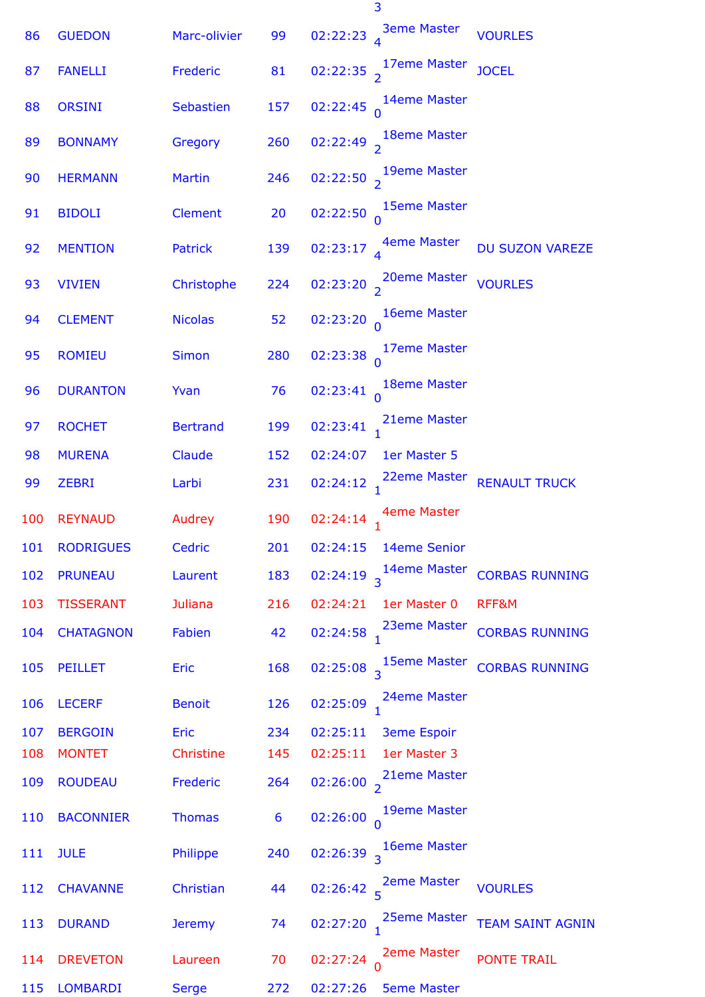| 86  | <b>GUEDON</b>    | Marc-olivier    | 99             | <b>3eme Master</b><br>02:22:23<br><b>VOURLES</b>                            |
|-----|------------------|-----------------|----------------|-----------------------------------------------------------------------------|
| 87  | <b>FANELLI</b>   | Frederic        | 81             | 02:22:35 $\frac{17em}{2}$<br><b>JOCEL</b>                                   |
| 88  | <b>ORSINI</b>    | Sebastien       | 157            | 02:22:45 $\int_{0}^{14$ eme Master                                          |
| 89  | <b>BONNAMY</b>   | Gregory         | 260            | 02:22:49 $\frac{18}{2}$ <sup>18eme</sup> Master                             |
| 90  | <b>HERMANN</b>   | <b>Martin</b>   | 246            | 02:22:50 $\frac{19}{2}$ <sup>19</sup> eme Master                            |
| 91  | <b>BIDOLI</b>    | <b>Clement</b>  | 20             | 02:22:50 $\int_{0}^{15$ eme Master                                          |
| 92  | <b>MENTION</b>   | Patrick         | 139            | 02:23:17 $_4$ 4eme Master<br><b>DU SUZON VAREZE</b>                         |
| 93  | <b>VIVIEN</b>    | Christophe      | 224            | 02:23:20 $\frac{20}{2}$ <sup>20</sup> eme Master<br><b>VOURLES</b>          |
| 94  | <b>CLEMENT</b>   | <b>Nicolas</b>  | 52             | 02:23:20 $\int_{0}^{16$ eme Master                                          |
| 95  | <b>ROMIEU</b>    | <b>Simon</b>    | 280            | 02:23:38 $\frac{17em}{0}$ Master                                            |
| 96  | <b>DURANTON</b>  | Yvan            | 76             | 02:23:41 $\begin{matrix} 18$ eme Master                                     |
| 97  | <b>ROCHET</b>    | <b>Bertrand</b> | 199            | 02:23:41 $\frac{21}{1}$ <sup>21</sup> eme Master                            |
| 98  | <b>MURENA</b>    | Claude          | 152            | 02:24:07<br>1er Master 5                                                    |
| 99  | <b>ZEBRI</b>     | Larbi           | 231            | 02:24:12 $\frac{22}{1}$ <sup>22eme</sup> Master<br><b>RENAULT TRUCK</b>     |
| 100 | <b>REYNAUD</b>   | Audrey          | 190            | 02:24:14 $_1$ <sup>4eme Master</sup>                                        |
| 101 | <b>RODRIGUES</b> | Cedric          | 201            | 02:24:15 14eme Senior                                                       |
| 102 | <b>PRUNEAU</b>   | Laurent         | 183            | 02:24:19 $3^{14$ eme Master<br><b>CORBAS RUNNING</b>                        |
| 103 | <b>TISSERANT</b> | <b>Juliana</b>  | 216            | 02:24:21<br>1er Master 0<br>RFF&M                                           |
| 104 | <b>CHATAGNON</b> |                 | 42             | 02:24:58 $\frac{23em}{1}$ <sup>23</sup> eme Master<br><b>CORBAS RUNNING</b> |
|     |                  | Fabien          |                |                                                                             |
| 105 | <b>PEILLET</b>   | <b>Eric</b>     | 168            | 02:25:08 $\frac{15em}{3}$<br><b>CORBAS RUNNING</b>                          |
| 106 | <b>LECERF</b>    | <b>Benoit</b>   | 126            | 02:25:09 $1^{24$ eme Master                                                 |
| 107 | <b>BERGOIN</b>   | <b>Eric</b>     | 234            | 02:25:11<br><b>3eme Espoir</b>                                              |
| 108 | <b>MONTET</b>    | Christine       | 145            | 02:25:11<br>1er Master 3                                                    |
| 109 | <b>ROUDEAU</b>   | Frederic        | 264            | 02:26:00 $\frac{21}{2}$ <sup>21</sup> eme Master                            |
| 110 | <b>BACONNIER</b> | <b>Thomas</b>   | $6\phantom{a}$ | 02:26:00 $\begin{array}{c} 19$ eme Master                                   |
| 111 | <b>JULE</b>      | Philippe        | 240            | 02:26:39 $\frac{16em}{3}$                                                   |
| 112 | <b>CHAVANNE</b>  | Christian       | 44             | 02:26:42 $\frac{2em}{5}$ <sup>2</sup> eme Master<br><b>VOURLES</b>          |
| 113 | <b>DURAND</b>    | <b>Jeremy</b>   | 74             | 02:27:20 $1^{25$ eme Master<br><b>TEAM SAINT AGNIN</b>                      |
| 114 | <b>DREVETON</b>  | Laureen         | 70             | 02:27:24 $\int_{0}^{2eme}$ Master<br><b>PONTE TRAIL</b>                     |
| 115 | LOMBARDI         | <b>Serge</b>    | 272            | 02:27:26    5eme Master                                                     |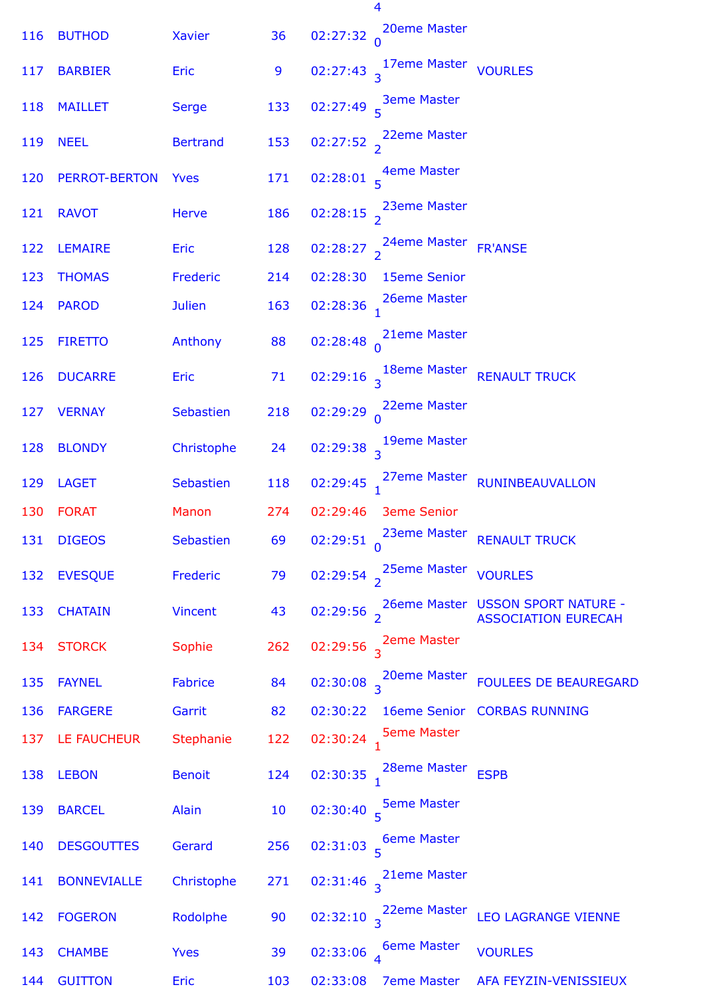| 116 | <b>BUTHOD</b>      | <b>Xavier</b>   | 36  |                         | 02:27:32 $\int_{0}^{20}$ eme Master              |                                                                   |
|-----|--------------------|-----------------|-----|-------------------------|--------------------------------------------------|-------------------------------------------------------------------|
| 117 | <b>BARBIER</b>     | Eric            | 9   |                         | 02:27:43 <sup>17eme Master</sup> VOURLES         |                                                                   |
| 118 | <b>MAILLET</b>     | <b>Serge</b>    | 133 |                         | 02:27:49 $\frac{3em}{5}$ <sup>3eme</sup> Master  |                                                                   |
| 119 | <b>NEEL</b>        | <b>Bertrand</b> | 153 |                         | 02:27:52 $\frac{22}{2}$ <sup>22</sup> eme Master |                                                                   |
| 120 | PERROT-BERTON      | <b>Yves</b>     | 171 |                         | 02:28:01 $\frac{4eme\text{ Master}}{5}$          |                                                                   |
| 121 | <b>RAVOT</b>       | <b>Herve</b>    | 186 |                         | 02:28:15 $\frac{23eme}{2}$ Master                |                                                                   |
| 122 | <b>LEMAIRE</b>     | Eric            | 128 |                         | 02:28:27 $\frac{24}{2}$ <sup>24</sup> eme Master | <b>FR'ANSE</b>                                                    |
| 123 | <b>THOMAS</b>      | Frederic        | 214 | 02:28:30                | <b>15eme Senior</b>                              |                                                                   |
| 124 | <b>PAROD</b>       | <b>Julien</b>   | 163 |                         | 02:28:36 $1^{26$ eme Master                      |                                                                   |
| 125 | <b>FIRETTO</b>     | Anthony         | 88  |                         | 02:28:48 $\int_{0}^{21$ eme Master               |                                                                   |
| 126 | <b>DUCARRE</b>     | <b>Eric</b>     | 71  |                         |                                                  | 02:29:16 <sup>18eme Master</sup> RENAULT TRUCK                    |
| 127 | <b>VERNAY</b>      | Sebastien       | 218 |                         | 02:29:29 $\begin{matrix} 22$ eme Master          |                                                                   |
| 128 | <b>BLONDY</b>      | Christophe      | 24  |                         | 02:29:38 $\frac{19}{3}$ <sup>19eme</sup> Master  |                                                                   |
| 129 | <b>LAGET</b>       | Sebastien       | 118 |                         |                                                  | 02:29:45 27eme Master RUNINBEAUVALLON                             |
| 130 | <b>FORAT</b>       | Manon           | 274 |                         | 02:29:46 3eme Senior                             |                                                                   |
| 131 | <b>DIGEOS</b>      | Sebastien       | 69  |                         | 02:29:51 $\begin{matrix} 23$ eme Master          | <b>RENAULT TRUCK</b>                                              |
| 132 | <b>EVESQUE</b>     | Frederic        | 79  |                         | 02:29:54 $\frac{25}{2}$ <sup>25</sup> eme Master | <b>VOURLES</b>                                                    |
| 133 | <b>CHATAIN</b>     | <b>Vincent</b>  | 43  |                         |                                                  | 02:29:56 26eme Master USSON SPORT NATURE -<br>ASSOCIATION EURECAH |
| 134 | <b>STORCK</b>      | Sophie          | 262 |                         | 02:29:56 $\frac{2}{3}$ <sup>2eme Master</sup>    |                                                                   |
| 135 | <b>FAYNEL</b>      | <b>Fabrice</b>  | 84  |                         | 02:30:08 $\frac{20}{3}$ <sup>20</sup> eme Master | <b>FOULEES DE BEAUREGARD</b>                                      |
| 136 | <b>FARGERE</b>     | Garrit          | 82  | 02:30:22                |                                                  | 16eme Senior CORBAS RUNNING                                       |
| 137 | LE FAUCHEUR        | Stephanie       | 122 | 02:30:24 $_1$           | <b>5eme Master</b>                               |                                                                   |
| 138 | <b>LEBON</b>       | <b>Benoit</b>   | 124 | $02:30:35$ <sub>1</sub> | 28eme Master                                     | <b>ESPB</b>                                                       |
| 139 | <b>BARCEL</b>      | Alain           | 10  |                         | 02:30:40 $\frac{5}{5}$ eme Master                |                                                                   |
| 140 | <b>DESGOUTTES</b>  | Gerard          | 256 |                         | 02:31:03 $\frac{6}{5}$ 6eme Master               |                                                                   |
| 141 | <b>BONNEVIALLE</b> | Christophe      | 271 |                         | 02:31:46 $\frac{21$ eme Master                   |                                                                   |
| 142 | <b>FOGERON</b>     | Rodolphe        | 90  |                         | 02:32:10 $3^{22eme}$ Master                      | <b>LEO LAGRANGE VIENNE</b>                                        |
| 143 | <b>CHAMBE</b>      | <b>Yves</b>     | 39  |                         | 02:33:06 $\frac{6}{4}$ Geme Master               | <b>VOURLES</b>                                                    |
| 144 | <b>GUITTON</b>     | Eric            | 103 | 02:33:08                | <b>7eme Master</b>                               | AFA FEYZIN-VENISSIEUX                                             |

4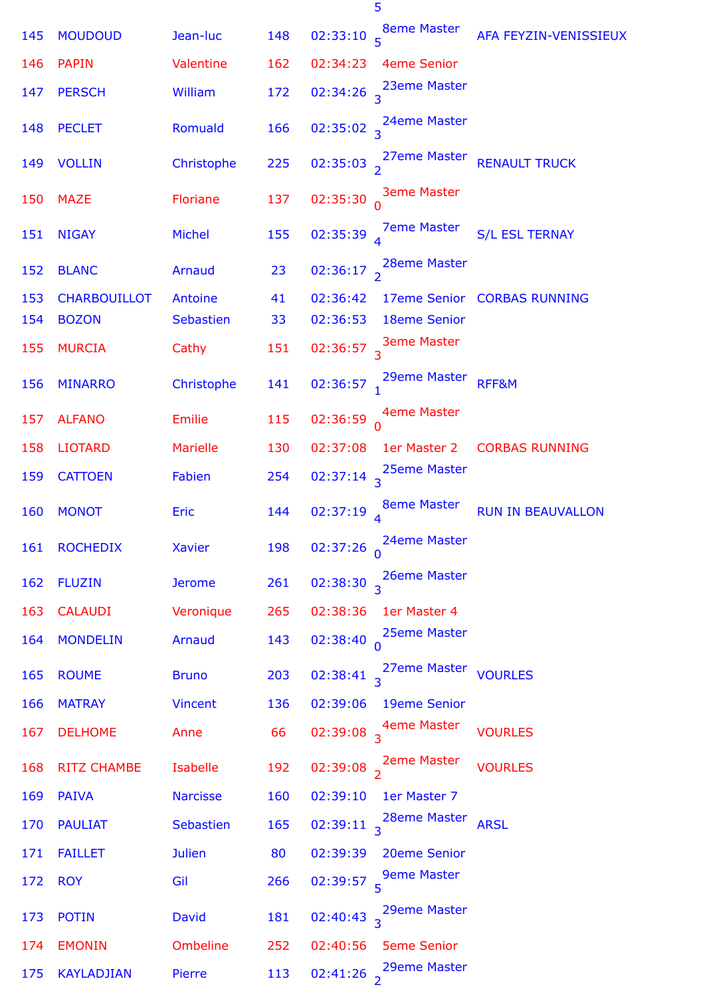| 145 | <b>MOUDOUD</b>      | Jean-luc        | 148 |                         | 02:33:10 $\frac{8}{5}$ <sup>8eme</sup> Master    | AFA FEYZIN-VENISSIEUX       |
|-----|---------------------|-----------------|-----|-------------------------|--------------------------------------------------|-----------------------------|
| 146 | <b>PAPIN</b>        | Valentine       | 162 | 02:34:23                | <b>4eme Senior</b>                               |                             |
| 147 | <b>PERSCH</b>       | William         | 172 |                         | 02:34:26 $\frac{23$ eme Master                   |                             |
| 148 | <b>PECLET</b>       | Romuald         | 166 |                         | 02:35:02 $\frac{24$ eme Master                   |                             |
| 149 | <b>VOLLIN</b>       | Christophe      | 225 |                         | 02:35:03 $\frac{27}{2}$ 27eme Master             | <b>RENAULT TRUCK</b>        |
| 150 | <b>MAZE</b>         | Floriane        | 137 |                         | 02:35:30 $\int_{0}^{3eme}$ Master                |                             |
| 151 | <b>NIGAY</b>        | Michel          | 155 |                         | 02:35:39 $\frac{7}{4}$ <sup>7</sup> eme Master   | <b>S/L ESL TERNAY</b>       |
| 152 | <b>BLANC</b>        | Arnaud          | 23  |                         | 02:36:17 $\frac{28}{2}$ <sup>28eme</sup> Master  |                             |
| 153 | <b>CHARBOUILLOT</b> | Antoine         | 41  | 02:36:42                |                                                  | 17eme Senior CORBAS RUNNING |
| 154 | <b>BOZON</b>        | Sebastien       | 33  | 02:36:53                | <b>18eme Senior</b>                              |                             |
| 155 | <b>MURCIA</b>       | Cathy           | 151 |                         | 02:36:57 $\frac{3}{3}$ <sup>3</sup> eme Master   |                             |
| 156 | <b>MINARRO</b>      | Christophe      | 141 |                         | 02:36:57 $\frac{29}{1}$ <sup>29eme</sup> Master  | RFF&M                       |
| 157 | <b>ALFANO</b>       | Emilie          | 115 |                         | 02:36:59 $\bigwedge_{0}^{4$ eme Master           |                             |
| 158 | <b>LIOTARD</b>      | <b>Marielle</b> | 130 | 02:37:08                | 1er Master 2                                     | <b>CORBAS RUNNING</b>       |
| 159 | <b>CATTOEN</b>      | Fabien          | 254 |                         | 02:37:14 $3^{25eme}$ Master                      |                             |
| 160 | <b>MONOT</b>        | Eric            | 144 |                         | 02:37:19 $_4$ <sup>8eme Master</sup>             | <b>RUN IN BEAUVALLON</b>    |
|     | 161 ROCHEDIX        | Xavier          | 198 | 02:37:26 $_0$           | 24eme Master                                     |                             |
| 162 | <b>FLUZIN</b>       | <b>Jerome</b>   | 261 | 02:38:30                | 26eme Master                                     |                             |
| 163 | <b>CALAUDI</b>      | Veronique       | 265 | 02:38:36                | 1er Master 4                                     |                             |
| 164 | <b>MONDELIN</b>     | Arnaud          | 143 | 02:38:40                | 25eme Master                                     |                             |
| 165 | <b>ROUME</b>        | <b>Bruno</b>    | 203 |                         | 02:38:41 $\frac{27}{3}$ <sup>27</sup> eme Master | <b>VOURLES</b>              |
| 166 | <b>MATRAY</b>       | <b>Vincent</b>  | 136 | 02:39:06                | 19eme Senior                                     |                             |
| 167 | <b>DELHOME</b>      | Anne            | 66  |                         | 02:39:08 $\frac{4}{3}$ <sup>4</sup> eme Master   | <b>VOURLES</b>              |
| 168 | <b>RITZ CHAMBE</b>  | Isabelle        | 192 | $02:39:08$ <sub>2</sub> | <b>2eme Master</b>                               | <b>VOURLES</b>              |
| 169 | <b>PAIVA</b>        | <b>Narcisse</b> | 160 | 02:39:10                | 1er Master 7                                     |                             |
| 170 | <b>PAULIAT</b>      | Sebastien       | 165 |                         | 02:39:11 $\frac{28}{3}$ <sup>28eme</sup> Master  | <b>ARSL</b>                 |
| 171 | <b>FAILLET</b>      | <b>Julien</b>   | 80  | 02:39:39                | 20eme Senior                                     |                             |
| 172 | <b>ROY</b>          | Gil             | 266 |                         | 02:39:57 $\frac{9}{5}$ <sup>9</sup> eme Master   |                             |
| 173 | <b>POTIN</b>        | David           | 181 |                         | 02:40:43 $\frac{29}{3}$ <sup>29eme</sup> Master  |                             |
| 174 | <b>EMONIN</b>       | Ombeline        | 252 | 02:40:56                | <b>5eme Senior</b>                               |                             |
| 175 | <b>KAYLADJIAN</b>   | Pierre          | 113 | 02:41:26 $\frac{1}{2}$  | 29eme Master                                     |                             |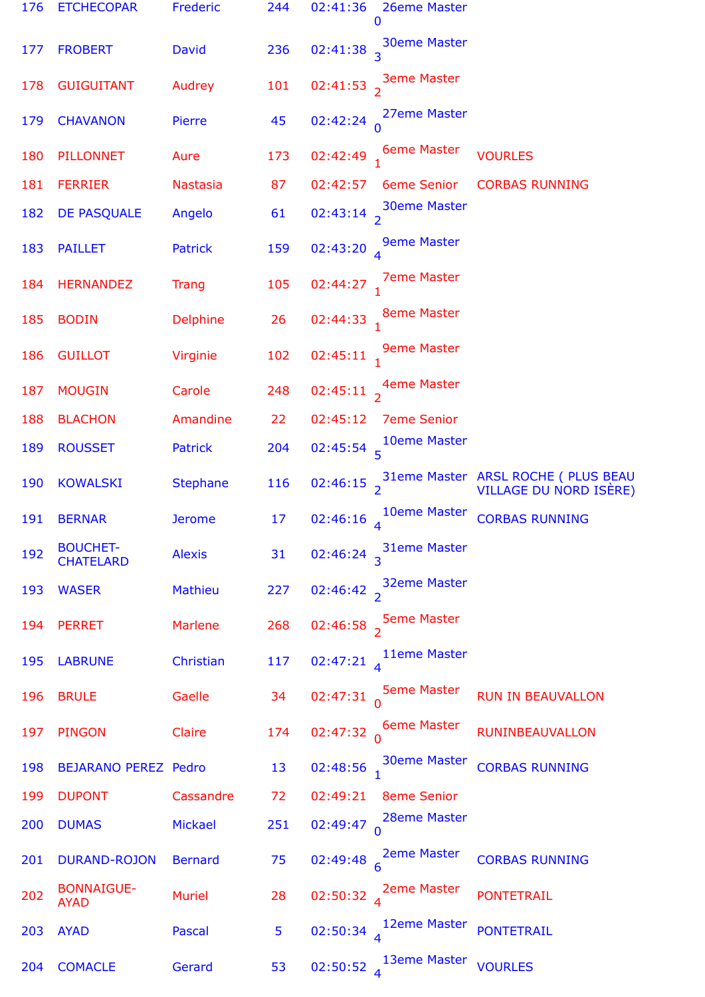| 176 | <b>ETCHECOPAR</b>                   | Frederic        | 244 | 02:41:36<br>26eme Master<br>0                   |                                                                       |
|-----|-------------------------------------|-----------------|-----|-------------------------------------------------|-----------------------------------------------------------------------|
| 177 | <b>FROBERT</b>                      | David           | 236 | <b>30eme Master</b><br>02:41:38 <sub>3</sub>    |                                                                       |
| 178 | <b>GUIGUITANT</b>                   | Audrey          | 101 | 02:41:53 $\frac{3}{2}$ <sup>3eme</sup> Master   |                                                                       |
| 179 | <b>CHAVANON</b>                     | Pierre          | 45  | 27eme Master<br>02:42:24                        |                                                                       |
| 180 | <b>PILLONNET</b>                    | Aure            | 173 | 02:42:49 6eme Master                            | <b>VOURLES</b>                                                        |
| 181 | <b>FERRIER</b>                      | <b>Nastasia</b> | 87  | 02:42:57<br><b>6eme Senior</b>                  | <b>CORBAS RUNNING</b>                                                 |
| 182 | DE PASQUALE                         | Angelo          | 61  | 02:43:14 $\frac{30}{2}$ <sup>30eme</sup> Master |                                                                       |
| 183 | <b>PAILLET</b>                      | <b>Patrick</b>  | 159 | <b>9eme Master</b><br>02:43:20 $_4$             |                                                                       |
| 184 | <b>HERNANDEZ</b>                    | <b>Trang</b>    | 105 | <b>7eme Master</b><br>02:44:27                  |                                                                       |
| 185 | <b>BODIN</b>                        | <b>Delphine</b> | 26  | <b>8eme Master</b><br>02:44:33                  |                                                                       |
| 186 | <b>GUILLOT</b>                      | Virginie        | 102 | <b>9eme Master</b><br>02:45:11                  |                                                                       |
| 187 | <b>MOUGIN</b>                       | Carole          | 248 | 4eme Master<br>02:45:11 $\frac{1}{2}$           |                                                                       |
| 188 | <b>BLACHON</b>                      | Amandine        | 22  | 02:45:12<br><b>7eme Senior</b>                  |                                                                       |
| 189 | <b>ROUSSET</b>                      | Patrick         | 204 | 02:45:54 $\frac{10}{5}$ Master                  |                                                                       |
| 190 | <b>KOWALSKI</b>                     | <b>Stephane</b> | 116 |                                                 | 02:46:15 31eme Master ARSL ROCHE (PLUS BEAU<br>VILLAGE DU NORD ISÈRE) |
| 191 | <b>BERNAR</b>                       | <b>Jerome</b>   | 17  | 10eme Master<br>02:46:16                        | <b>CORBAS RUNNING</b>                                                 |
| 192 | <b>BOUCHET-</b><br><b>CHATELARD</b> | <b>Alexis</b>   | 31  | <b>31eme Master</b><br>02:46:24 <sub>3</sub>    |                                                                       |
| 193 | <b>WASER</b>                        | Mathieu         | 227 | <b>32eme Master</b><br>02:46:42 $\frac{1}{2}$   |                                                                       |
| 194 | <b>PERRET</b>                       | <b>Marlene</b>  | 268 | <b>5eme Master</b><br>02:46:58 $\frac{1}{2}$    |                                                                       |
| 195 | <b>LABRUNE</b>                      | Christian       | 117 | 11eme Master<br>02:47:21                        |                                                                       |
| 196 | <b>BRULE</b>                        | Gaelle          | 34  | <b>5eme Master</b><br>02:47:31                  | <b>RUN IN BEAUVALLON</b>                                              |
| 197 | <b>PINGON</b>                       | Claire          | 174 | <b>6eme Master</b><br>02:47:32 <sub>n</sub>     | <b>RUNINBEAUVALLON</b>                                                |
| 198 | <b>BEJARANO PEREZ Pedro</b>         |                 | 13  | <b>30eme Master</b><br>02:48:56                 | <b>CORBAS RUNNING</b>                                                 |
| 199 | <b>DUPONT</b>                       | Cassandre       | 72  | <b>8eme Senior</b><br>02:49:21                  |                                                                       |
| 200 | <b>DUMAS</b>                        | <b>Mickael</b>  | 251 | 28eme Master<br>02:49:47                        |                                                                       |
| 201 | <b>DURAND-ROJON</b>                 | <b>Bernard</b>  | 75  | <b>2eme Master</b><br>02:49:48                  | <b>CORBAS RUNNING</b>                                                 |
| 202 | <b>BONNAIGUE-</b><br><b>AYAD</b>    | <b>Muriel</b>   | 28  | 2eme Master<br>02:50:32                         | <b>PONTETRAIL</b>                                                     |
| 203 | <b>AYAD</b>                         | <b>Pascal</b>   | 5   | 12eme Master<br>02:50:34 $_4$                   | <b>PONTETRAIL</b>                                                     |
| 204 | <b>COMACLE</b>                      | Gerard          | 53  | 13eme Master<br>02:50:52                        | <b>VOURLES</b>                                                        |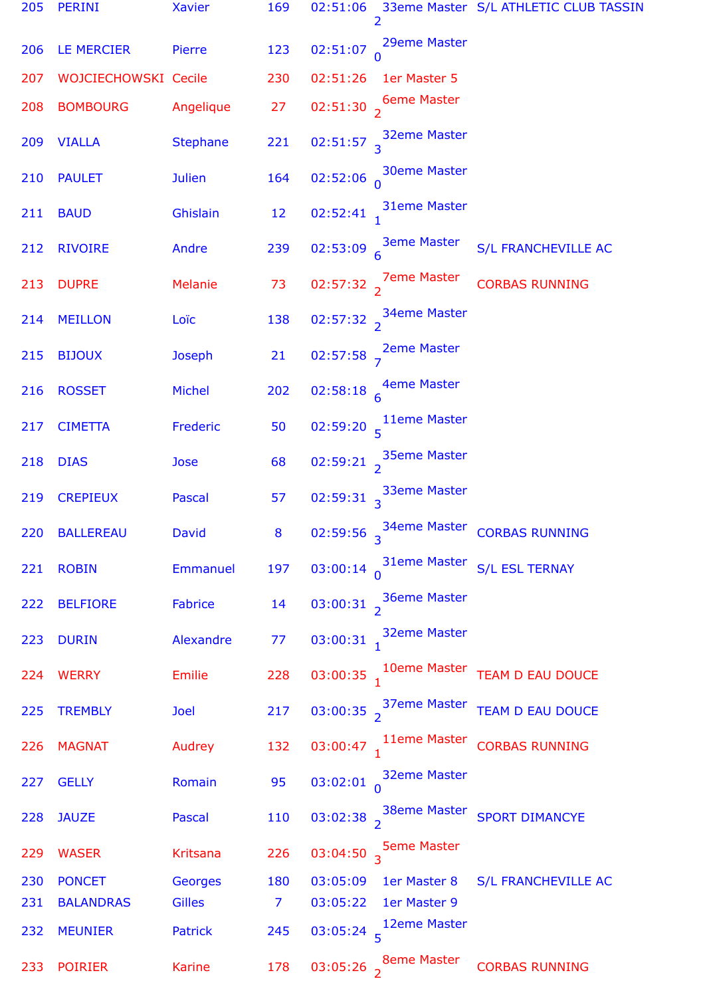| 205 | PERINI               | Xavier          | 169            |          | 2                                                | 02:51:06 33eme Master S/L ATHLETIC CLUB TASSIN                   |
|-----|----------------------|-----------------|----------------|----------|--------------------------------------------------|------------------------------------------------------------------|
| 206 | LE MERCIER           | Pierre          | 123            |          | 02:51:07 $\int_{0}^{29 \text{eme Master}}$       |                                                                  |
| 207 | WOJCIECHOWSKI Cecile |                 | 230            | 02:51:26 | 1er Master 5                                     |                                                                  |
| 208 | <b>BOMBOURG</b>      | Angelique       | 27             |          | 02:51:30 $\frac{6}{2}$ 6eme Master               |                                                                  |
| 209 | <b>VIALLA</b>        | <b>Stephane</b> | 221            |          | 02:51:57 $\frac{32}{3}$ <sup>32</sup> eme Master |                                                                  |
| 210 | <b>PAULET</b>        | <b>Julien</b>   | 164            |          | 02:52:06 $\int_{0}^{30}$ eme Master              |                                                                  |
| 211 | <b>BAUD</b>          | Ghislain        | 12             |          | 02:52:41 $\frac{31}{1}$ <sup>31</sup> eme Master |                                                                  |
| 212 | <b>RIVOIRE</b>       | Andre           | 239            |          | 02:53:09 $\frac{3eme}{6}$ Master                 | S/L FRANCHEVILLE AC                                              |
| 213 | <b>DUPRE</b>         | Melanie         | 73             |          | 02:57:32 $\frac{7}{2}$ <sup>7</sup> eme Master   | <b>CORBAS RUNNING</b>                                            |
| 214 | <b>MEILLON</b>       | Loïc            | 138            |          | 02:57:32 $3^{34}$ eme Master                     |                                                                  |
| 215 | <b>BIJOUX</b>        | Joseph          | 21             |          | 02:57:58 $\frac{2}{7}$ <sup>2eme Master</sup>    |                                                                  |
| 216 | <b>ROSSET</b>        | Michel          | 202            |          | 02:58:18 $\overline{f}$ 4eme Master              |                                                                  |
| 217 | <b>CIMETTA</b>       | Frederic        | 50             |          | 02:59:20 $\frac{11}{5}$ <sup>11eme</sup> Master  |                                                                  |
| 218 | <b>DIAS</b>          | Jose            | 68             |          | 02:59:21 $35$ eme Master                         |                                                                  |
| 219 | <b>CREPIEUX</b>      | Pascal          | 57             |          | 02:59:31 $3^3$ 33eme Master                      |                                                                  |
|     | 220 BALLEREAU David  |                 |                |          |                                                  | 8 02:59:56 $\frac{34}{3}$ O2:59:56 $\frac{34}{3}$ CORBAS RUNNING |
| 221 | <b>ROBIN</b>         | Emmanuel        | 197            |          |                                                  | 03:00:14 31eme Master S/L ESL TERNAY                             |
| 222 | <b>BELFIORE</b>      | Fabrice         | 14             |          | 03:00:31 $\frac{36}{2}$ <sup>36eme</sup> Master  |                                                                  |
| 223 | <b>DURIN</b>         | Alexandre       | 77             |          | 03:00:31 32eme Master                            |                                                                  |
| 224 | <b>WERRY</b>         | Emilie          | 228            |          |                                                  | 03:00:35 10eme Master TEAM D EAU DOUCE                           |
| 225 | <b>TREMBLY</b>       | Joel            | 217            |          |                                                  | 03:00:35 37eme Master TEAM D EAU DOUCE                           |
| 226 | <b>MAGNAT</b>        | Audrey          | 132            |          |                                                  | 03:00:47 11eme Master CORBAS RUNNING                             |
| 227 | <b>GELLY</b>         | Romain          | 95             |          | 03:02:01 $\int_{0}^{32}$ eme Master              |                                                                  |
| 228 | <b>JAUZE</b>         | Pascal          | 110            |          |                                                  | 03:02:38 38eme Master SPORT DIMANCYE                             |
| 229 | <b>WASER</b>         | Kritsana        | 226            |          | 03:04:50 $\frac{5}{3}$ <sup>5eme</sup> Master    |                                                                  |
| 230 | <b>PONCET</b>        | <b>Georges</b>  | 180            |          | 03:05:09 1er Master 8                            | S/L FRANCHEVILLE AC                                              |
| 231 | <b>BALANDRAS</b>     | Gilles          | $\overline{7}$ | 03:05:22 | 1er Master 9                                     |                                                                  |
| 232 | <b>MEUNIER</b>       | Patrick         | 245            |          | 03:05:24 $\frac{12em}{5}$                        |                                                                  |
| 233 | <b>POIRIER</b>       | <b>Karine</b>   | 178            |          | 03:05:26 $\frac{8}{2}$ <sup>8eme Master</sup>    | <b>CORBAS RUNNING</b>                                            |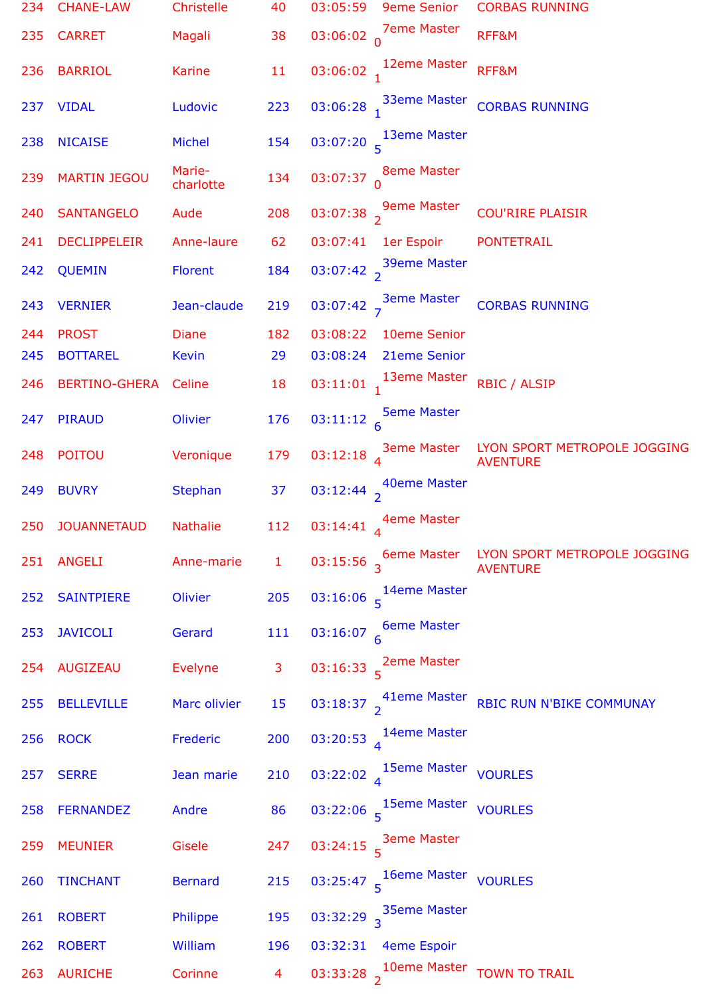| 234 | <b>CHANE-LAW</b>     | Christelle          | 40             | 03:05:59 | <b>9eme Senior</b>                                        | <b>CORBAS RUNNING</b>                                                |
|-----|----------------------|---------------------|----------------|----------|-----------------------------------------------------------|----------------------------------------------------------------------|
| 235 | <b>CARRET</b>        | Magali              | 38             |          | 03:06:02 $\int_{0}^{7}$ eme Master                        | RFF&M                                                                |
| 236 | <b>BARRIOL</b>       | Karine              | 11             |          | 03:06:02 12eme Master                                     | RFF&M                                                                |
| 237 | <b>VIDAL</b>         | Ludovic             | 223            |          |                                                           | 03:06:28 33eme Master CORBAS RUNNING                                 |
| 238 | <b>NICAISE</b>       | Michel              | 154            |          | 03:07:20 $\frac{13eme\text{ Master}}{5}$                  |                                                                      |
| 239 | <b>MARTIN JEGOU</b>  | Marie-<br>charlotte | 134            |          | 03:07:37 $\int_{0}^{8}$ eme Master                        |                                                                      |
| 240 | <b>SANTANGELO</b>    | Aude                | 208            |          | 03:07:38 $\frac{9}{2}$ <sup>9</sup> eme Master            | <b>COU'RIRE PLAISIR</b>                                              |
| 241 | <b>DECLIPPELEIR</b>  | Anne-laure          | 62             | 03:07:41 | 1er Espoir                                                | <b>PONTETRAIL</b>                                                    |
| 242 | <b>QUEMIN</b>        | Florent             | 184            |          | 03:07:42 $\frac{39}{2}$ <sup>39eme</sup> Master           |                                                                      |
| 243 | <b>VERNIER</b>       | Jean-claude         | 219            |          | 03:07:42 $\frac{3}{7}$ <sup>3eme Master</sup>             | <b>CORBAS RUNNING</b>                                                |
| 244 | <b>PROST</b>         | <b>Diane</b>        | 182            | 03:08:22 | 10eme Senior                                              |                                                                      |
| 245 | <b>BOTTAREL</b>      | <b>Kevin</b>        | 29             | 03:08:24 | 21eme Senior                                              |                                                                      |
| 246 | <b>BERTINO-GHERA</b> | Celine              | 18             |          | 03:11:01 13eme Master RBIC / ALSIP                        |                                                                      |
| 247 | <b>PIRAUD</b>        | Olivier             | 176            |          | 03:11:12 $\frac{5}{6}$ Seme Master                        |                                                                      |
| 248 | <b>POITOU</b>        | Veronique           | 179            |          |                                                           | 03:12:18 3eme Master LYON SPORT METROPOLE JOGGING<br><b>AVENTURE</b> |
| 249 | <b>BUVRY</b>         | <b>Stephan</b>      | 37             |          | 03:12:44 $\frac{40}{2}$ <sup>40</sup> eme Master          |                                                                      |
| 250 | <b>JOUANNETAUD</b>   | <b>Nathalie</b>     | 112            |          | 03:14:41 4eme Master                                      |                                                                      |
|     | 251 ANGELI           | Anne-marie          | $\mathbf{1}$   |          |                                                           | 03:15:56 6eme Master LYON SPORT METROPOLE JOGGING<br><b>AVENTURE</b> |
| 252 | <b>SAINTPIERE</b>    | Olivier             | 205            |          | 03:16:06 $\frac{14em}{5}$ Master                          |                                                                      |
| 253 | <b>JAVICOLI</b>      | Gerard              | 111            |          | 03:16:07 $\frac{6}{6}$ Master                             |                                                                      |
| 254 | <b>AUGIZEAU</b>      | Evelyne             | $\mathbf{3}$   |          | 03:16:33 $\frac{2em}{5}$ <sup>2</sup> eme Master          |                                                                      |
| 255 | <b>BELLEVILLE</b>    | Marc olivier        | 15             |          |                                                           | 03:18:37 41eme Master RBIC RUN N'BIKE COMMUNAY                       |
| 256 | <b>ROCK</b>          | Frederic            | 200            |          | 03:20:53 $_4$ 14eme Master                                |                                                                      |
| 257 | <b>SERRE</b>         | Jean marie          | 210            |          | 03:22:02 $_4$ 15eme Master vOURLES                        |                                                                      |
| 258 | <b>FERNANDEZ</b>     | Andre               | 86             |          | 03:22:06 $\frac{15em}{5}$ <sup>15eme Master</sup> VOURLES |                                                                      |
| 259 | <b>MEUNIER</b>       | Gisele              | 247            |          | 03:24:15 $\frac{3}{5}$ <sup>3eme Master</sup>             |                                                                      |
| 260 | <b>TINCHANT</b>      | <b>Bernard</b>      | 215            |          | 03:25:47 5 16eme Master VOURLES                           |                                                                      |
| 261 | <b>ROBERT</b>        | Philippe            | 195            |          | 03:32:29 $\frac{35eme}{3}$ Master                         |                                                                      |
| 262 | <b>ROBERT</b>        | William             | 196            | 03:32:31 | 4eme Espoir                                               |                                                                      |
| 263 | <b>AURICHE</b>       | Corinne             | $\overline{4}$ |          |                                                           | 03:33:28 $\frac{10}{2}$ <sup>10eme Master</sup> TOWN TO TRAIL        |